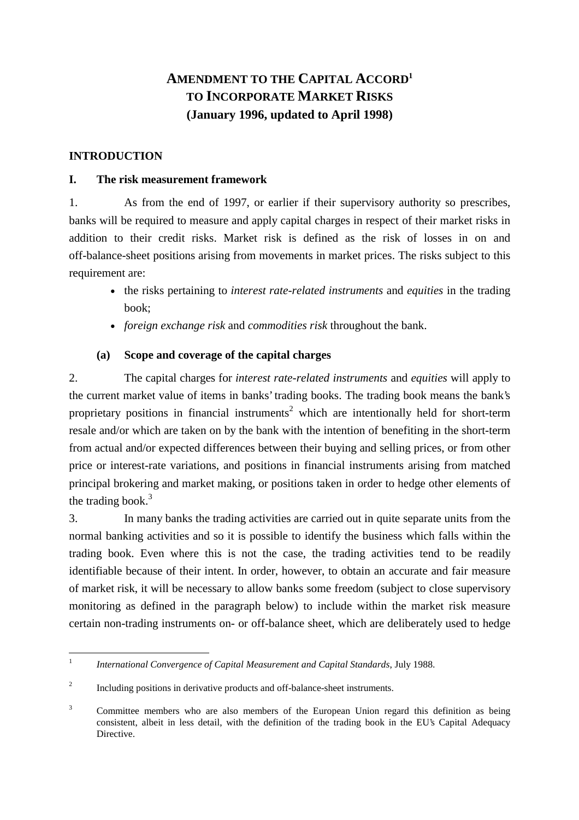# **AMENDMENT TO THE CAPITAL ACCORD<sup>1</sup> TO INCORPORATE MARKET RISKS (January 1996, updated to April 1998)**

## **INTRODUCTION**

### **I. The risk measurement framework**

1. As from the end of 1997, or earlier if their supervisory authority so prescribes, banks will be required to measure and apply capital charges in respect of their market risks in addition to their credit risks. Market risk is defined as the risk of losses in on and off-balance-sheet positions arising from movements in market prices. The risks subject to this requirement are:

- the risks pertaining to *interest rate-related instruments* and *equities* in the trading book;
- *foreign exchange risk* and *commodities risk* throughout the bank.

## **(a) Scope and coverage of the capital charges**

2. The capital charges for *interest rate-related instruments* and *equities* will apply to the current market value of items in banks' trading books. The trading book means the bank's proprietary positions in financial instruments<sup>2</sup> which are intentionally held for short-term resale and/or which are taken on by the bank with the intention of benefiting in the short-term from actual and/or expected differences between their buying and selling prices, or from other price or interest-rate variations, and positions in financial instruments arising from matched principal brokering and market making, or positions taken in order to hedge other elements of the trading book. $3$ 

3. In many banks the trading activities are carried out in quite separate units from the normal banking activities and so it is possible to identify the business which falls within the trading book. Even where this is not the case, the trading activities tend to be readily identifiable because of their intent. In order, however, to obtain an accurate and fair measure of market risk, it will be necessary to allow banks some freedom (subject to close supervisory monitoring as defined in the paragraph below) to include within the market risk measure certain non-trading instruments on- or off-balance sheet, which are deliberately used to hedge

 $\,1$ <sup>1</sup> *International Convergence of Capital Measurement and Capital Standards*, July 1988.

<sup>&</sup>lt;sup>2</sup> Including positions in derivative products and off-balance-sheet instruments.

<sup>&</sup>lt;sup>3</sup> Committee members who are also members of the European Union regard this definition as being consistent, albeit in less detail, with the definition of the trading book in the EU's Capital Adequacy **Directive**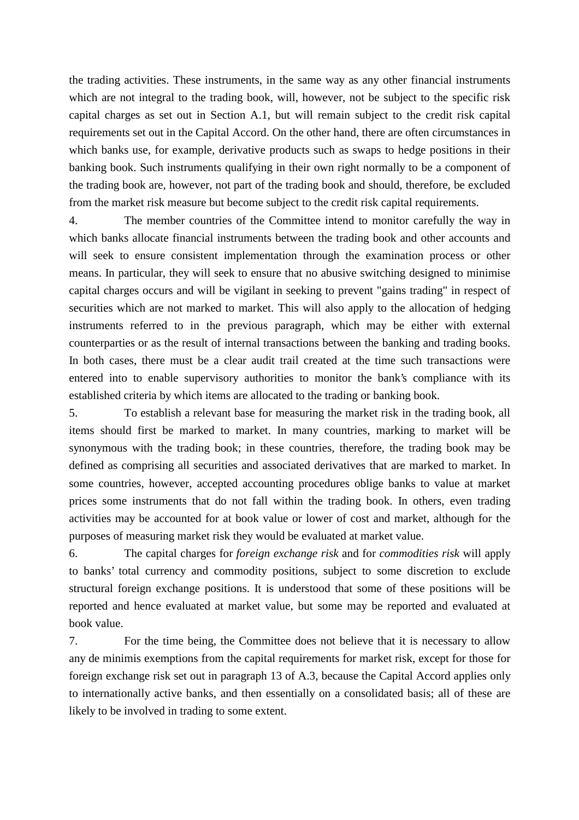the trading activities. These instruments, in the same way as any other financial instruments which are not integral to the trading book, will, however, not be subject to the specific risk capital charges as set out in Section A.1, but will remain subject to the credit risk capital requirements set out in the Capital Accord. On the other hand, there are often circumstances in which banks use, for example, derivative products such as swaps to hedge positions in their banking book. Such instruments qualifying in their own right normally to be a component of the trading book are, however, not part of the trading book and should, therefore, be excluded from the market risk measure but become subject to the credit risk capital requirements.

4. The member countries of the Committee intend to monitor carefully the way in which banks allocate financial instruments between the trading book and other accounts and will seek to ensure consistent implementation through the examination process or other means. In particular, they will seek to ensure that no abusive switching designed to minimise capital charges occurs and will be vigilant in seeking to prevent "gains trading" in respect of securities which are not marked to market. This will also apply to the allocation of hedging instruments referred to in the previous paragraph, which may be either with external counterparties or as the result of internal transactions between the banking and trading books. In both cases, there must be a clear audit trail created at the time such transactions were entered into to enable supervisory authorities to monitor the bank's compliance with its established criteria by which items are allocated to the trading or banking book.

5. To establish a relevant base for measuring the market risk in the trading book, all items should first be marked to market. In many countries, marking to market will be synonymous with the trading book; in these countries, therefore, the trading book may be defined as comprising all securities and associated derivatives that are marked to market. In some countries, however, accepted accounting procedures oblige banks to value at market prices some instruments that do not fall within the trading book. In others, even trading activities may be accounted for at book value or lower of cost and market, although for the purposes of measuring market risk they would be evaluated at market value.

6. The capital charges for *foreign exchange risk* and for *commodities risk* will apply to banks' total currency and commodity positions, subject to some discretion to exclude structural foreign exchange positions. It is understood that some of these positions will be reported and hence evaluated at market value, but some may be reported and evaluated at book value.

7. For the time being, the Committee does not believe that it is necessary to allow any de minimis exemptions from the capital requirements for market risk, except for those for foreign exchange risk set out in paragraph 13 of A.3, because the Capital Accord applies only to internationally active banks, and then essentially on a consolidated basis; all of these are likely to be involved in trading to some extent.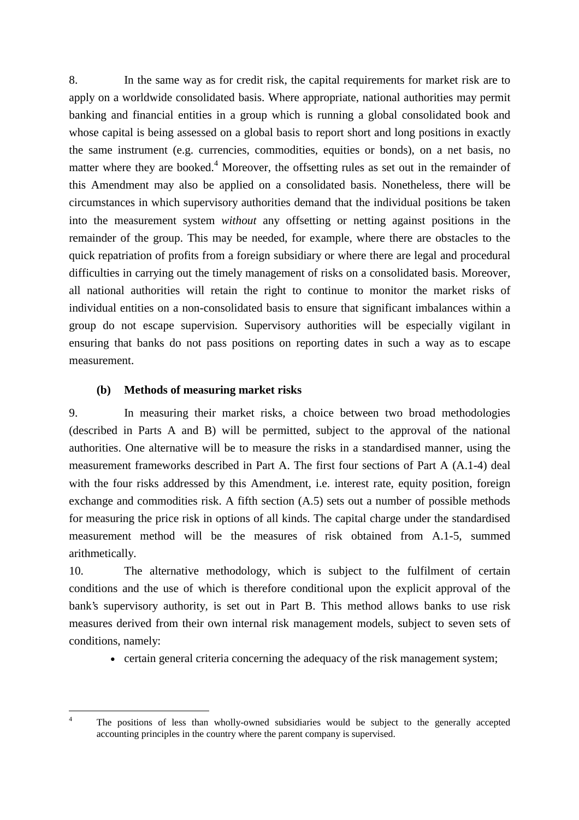8. In the same way as for credit risk, the capital requirements for market risk are to apply on a worldwide consolidated basis. Where appropriate, national authorities may permit banking and financial entities in a group which is running a global consolidated book and whose capital is being assessed on a global basis to report short and long positions in exactly the same instrument (e.g. currencies, commodities, equities or bonds), on a net basis, no matter where they are booked.<sup>4</sup> Moreover, the offsetting rules as set out in the remainder of this Amendment may also be applied on a consolidated basis. Nonetheless, there will be circumstances in which supervisory authorities demand that the individual positions be taken into the measurement system *without* any offsetting or netting against positions in the remainder of the group. This may be needed, for example, where there are obstacles to the quick repatriation of profits from a foreign subsidiary or where there are legal and procedural difficulties in carrying out the timely management of risks on a consolidated basis. Moreover, all national authorities will retain the right to continue to monitor the market risks of individual entities on a non-consolidated basis to ensure that significant imbalances within a group do not escape supervision. Supervisory authorities will be especially vigilant in ensuring that banks do not pass positions on reporting dates in such a way as to escape measurement.

#### **(b) Methods of measuring market risks**

9. In measuring their market risks, a choice between two broad methodologies (described in Parts A and B) will be permitted, subject to the approval of the national authorities. One alternative will be to measure the risks in a standardised manner, using the measurement frameworks described in Part A. The first four sections of Part A (A.1-4) deal with the four risks addressed by this Amendment, i.e. interest rate, equity position, foreign exchange and commodities risk. A fifth section (A.5) sets out a number of possible methods for measuring the price risk in options of all kinds. The capital charge under the standardised measurement method will be the measures of risk obtained from A.1-5, summed arithmetically.

10. The alternative methodology, which is subject to the fulfilment of certain conditions and the use of which is therefore conditional upon the explicit approval of the bank's supervisory authority, is set out in Part B. This method allows banks to use risk measures derived from their own internal risk management models, subject to seven sets of conditions, namely:

• certain general criteria concerning the adequacy of the risk management system;

 $\overline{a}$ The positions of less than wholly-owned subsidiaries would be subject to the generally accepted accounting principles in the country where the parent company is supervised.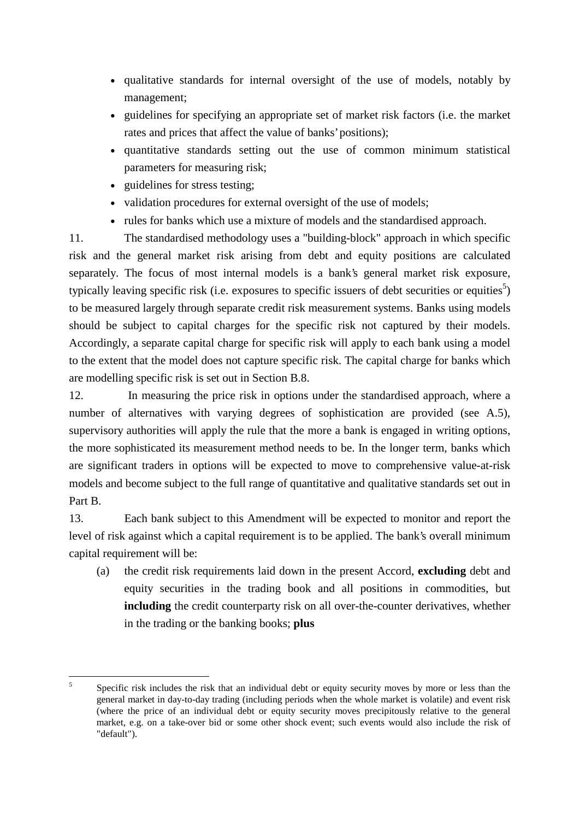- qualitative standards for internal oversight of the use of models, notably by management;
- guidelines for specifying an appropriate set of market risk factors (i.e. the market rates and prices that affect the value of banks' positions);
- quantitative standards setting out the use of common minimum statistical parameters for measuring risk;
- guidelines for stress testing;
- validation procedures for external oversight of the use of models;
- rules for banks which use a mixture of models and the standardised approach.

11. The standardised methodology uses a "building-block" approach in which specific risk and the general market risk arising from debt and equity positions are calculated separately. The focus of most internal models is a bank's general market risk exposure, typically leaving specific risk (i.e. exposures to specific issuers of debt securities or equities<sup>5</sup>) to be measured largely through separate credit risk measurement systems. Banks using models should be subject to capital charges for the specific risk not captured by their models. Accordingly, a separate capital charge for specific risk will apply to each bank using a model to the extent that the model does not capture specific risk. The capital charge for banks which are modelling specific risk is set out in Section B.8.

12. In measuring the price risk in options under the standardised approach, where a number of alternatives with varying degrees of sophistication are provided (see A.5), supervisory authorities will apply the rule that the more a bank is engaged in writing options, the more sophisticated its measurement method needs to be. In the longer term, banks which are significant traders in options will be expected to move to comprehensive value-at-risk models and become subject to the full range of quantitative and qualitative standards set out in Part B.

13. Each bank subject to this Amendment will be expected to monitor and report the level of risk against which a capital requirement is to be applied. The bank's overall minimum capital requirement will be:

(a) the credit risk requirements laid down in the present Accord, **excluding** debt and equity securities in the trading book and all positions in commodities, but **including** the credit counterparty risk on all over-the-counter derivatives, whether in the trading or the banking books; **plus**

 $\overline{\phantom{0}}$ <sup>5</sup> Specific risk includes the risk that an individual debt or equity security moves by more or less than the general market in day-to-day trading (including periods when the whole market is volatile) and event risk (where the price of an individual debt or equity security moves precipitously relative to the general market, e.g. on a take-over bid or some other shock event; such events would also include the risk of "default").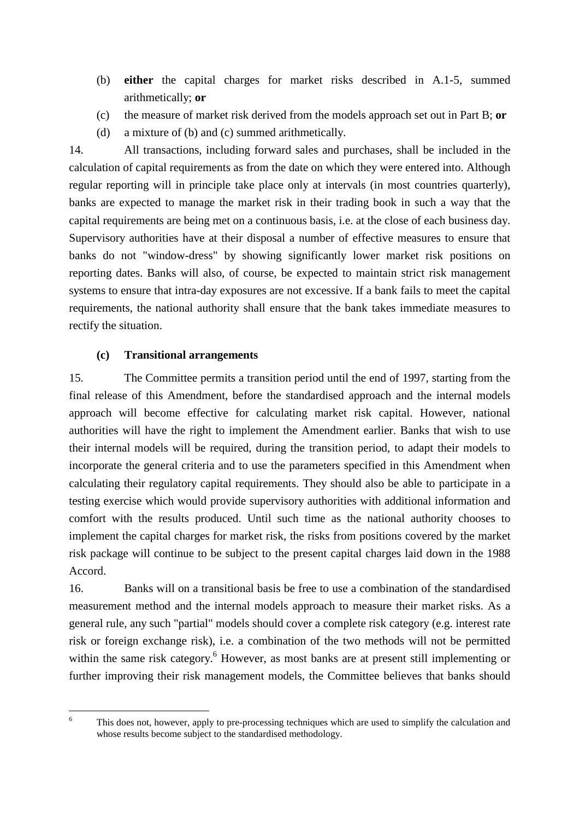- (b) **either** the capital charges for market risks described in A.1-5, summed arithmetically; **or**
- (c) the measure of market risk derived from the models approach set out in Part B; **or**
- (d) a mixture of (b) and (c) summed arithmetically.

14. All transactions, including forward sales and purchases, shall be included in the calculation of capital requirements as from the date on which they were entered into. Although regular reporting will in principle take place only at intervals (in most countries quarterly), banks are expected to manage the market risk in their trading book in such a way that the capital requirements are being met on a continuous basis, i.e. at the close of each business day. Supervisory authorities have at their disposal a number of effective measures to ensure that banks do not "window-dress" by showing significantly lower market risk positions on reporting dates. Banks will also, of course, be expected to maintain strict risk management systems to ensure that intra-day exposures are not excessive. If a bank fails to meet the capital requirements, the national authority shall ensure that the bank takes immediate measures to rectify the situation.

### **(c) Transitional arrangements**

15. The Committee permits a transition period until the end of 1997, starting from the final release of this Amendment, before the standardised approach and the internal models approach will become effective for calculating market risk capital. However, national authorities will have the right to implement the Amendment earlier. Banks that wish to use their internal models will be required, during the transition period, to adapt their models to incorporate the general criteria and to use the parameters specified in this Amendment when calculating their regulatory capital requirements. They should also be able to participate in a testing exercise which would provide supervisory authorities with additional information and comfort with the results produced. Until such time as the national authority chooses to implement the capital charges for market risk, the risks from positions covered by the market risk package will continue to be subject to the present capital charges laid down in the 1988 Accord.

16. Banks will on a transitional basis be free to use a combination of the standardised measurement method and the internal models approach to measure their market risks. As a general rule, any such "partial" models should cover a complete risk category (e.g. interest rate risk or foreign exchange risk), i.e. a combination of the two methods will not be permitted within the same risk category.<sup>6</sup> However, as most banks are at present still implementing or further improving their risk management models, the Committee believes that banks should

 $\overline{6}$ 

This does not, however, apply to pre-processing techniques which are used to simplify the calculation and whose results become subject to the standardised methodology.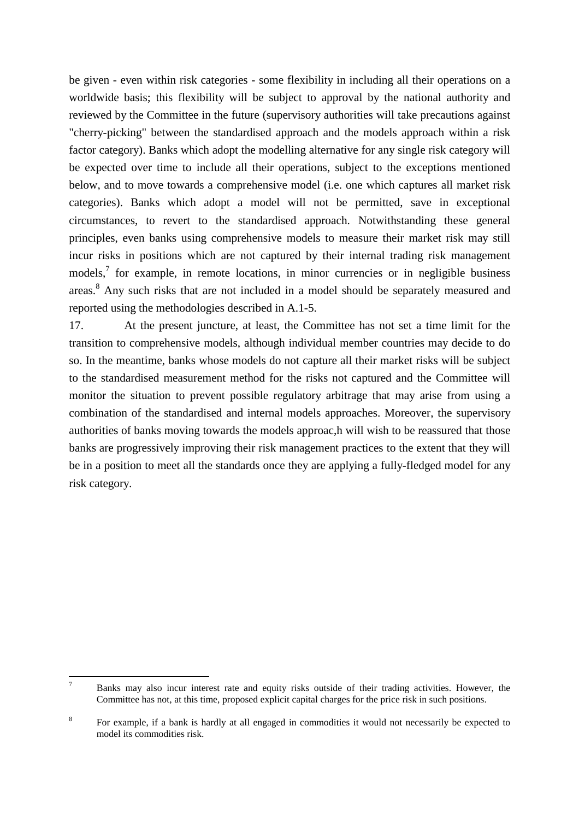be given - even within risk categories - some flexibility in including all their operations on a worldwide basis; this flexibility will be subject to approval by the national authority and reviewed by the Committee in the future (supervisory authorities will take precautions against "cherry-picking" between the standardised approach and the models approach within a risk factor category). Banks which adopt the modelling alternative for any single risk category will be expected over time to include all their operations, subject to the exceptions mentioned below, and to move towards a comprehensive model (i.e. one which captures all market risk categories). Banks which adopt a model will not be permitted, save in exceptional circumstances, to revert to the standardised approach. Notwithstanding these general principles, even banks using comprehensive models to measure their market risk may still incur risks in positions which are not captured by their internal trading risk management models,<sup>7</sup> for example, in remote locations, in minor currencies or in negligible business areas.<sup>8</sup> Any such risks that are not included in a model should be separately measured and reported using the methodologies described in A.1-5.

17. At the present juncture, at least, the Committee has not set a time limit for the transition to comprehensive models, although individual member countries may decide to do so. In the meantime, banks whose models do not capture all their market risks will be subject to the standardised measurement method for the risks not captured and the Committee will monitor the situation to prevent possible regulatory arbitrage that may arise from using a combination of the standardised and internal models approaches. Moreover, the supervisory authorities of banks moving towards the models approac,h will wish to be reassured that those banks are progressively improving their risk management practices to the extent that they will be in a position to meet all the standards once they are applying a fully-fledged model for any risk category.

 $\overline{a}$ <sup>7</sup> Banks may also incur interest rate and equity risks outside of their trading activities. However, the Committee has not, at this time, proposed explicit capital charges for the price risk in such positions.

<sup>&</sup>lt;sup>8</sup> For example, if a bank is hardly at all engaged in commodities it would not necessarily be expected to model its commodities risk.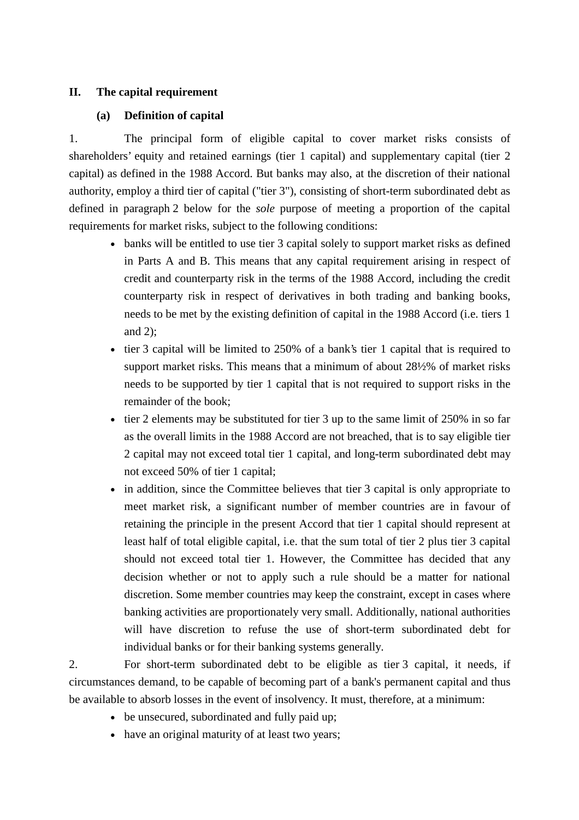## **II. The capital requirement**

#### **(a) Definition of capital**

1. The principal form of eligible capital to cover market risks consists of shareholders' equity and retained earnings (tier 1 capital) and supplementary capital (tier 2 capital) as defined in the 1988 Accord. But banks may also, at the discretion of their national authority, employ a third tier of capital ("tier 3"), consisting of short-term subordinated debt as defined in paragraph 2 below for the *sole* purpose of meeting a proportion of the capital requirements for market risks, subject to the following conditions:

- banks will be entitled to use tier 3 capital solely to support market risks as defined in Parts A and B. This means that any capital requirement arising in respect of credit and counterparty risk in the terms of the 1988 Accord, including the credit counterparty risk in respect of derivatives in both trading and banking books, needs to be met by the existing definition of capital in the 1988 Accord (i.e. tiers 1 and 2);
- tier 3 capital will be limited to 250% of a bank's tier 1 capital that is required to support market risks. This means that a minimum of about 28½% of market risks needs to be supported by tier 1 capital that is not required to support risks in the remainder of the book;
- tier 2 elements may be substituted for tier 3 up to the same limit of 250% in so far as the overall limits in the 1988 Accord are not breached, that is to say eligible tier 2 capital may not exceed total tier 1 capital, and long-term subordinated debt may not exceed 50% of tier 1 capital;
- in addition, since the Committee believes that tier 3 capital is only appropriate to meet market risk, a significant number of member countries are in favour of retaining the principle in the present Accord that tier 1 capital should represent at least half of total eligible capital, i.e. that the sum total of tier 2 plus tier 3 capital should not exceed total tier 1. However, the Committee has decided that any decision whether or not to apply such a rule should be a matter for national discretion. Some member countries may keep the constraint, except in cases where banking activities are proportionately very small. Additionally, national authorities will have discretion to refuse the use of short-term subordinated debt for individual banks or for their banking systems generally.

2. For short-term subordinated debt to be eligible as tier 3 capital, it needs, if circumstances demand, to be capable of becoming part of a bank's permanent capital and thus be available to absorb losses in the event of insolvency. It must, therefore, at a minimum:

- be unsecured, subordinated and fully paid up;
- have an original maturity of at least two years;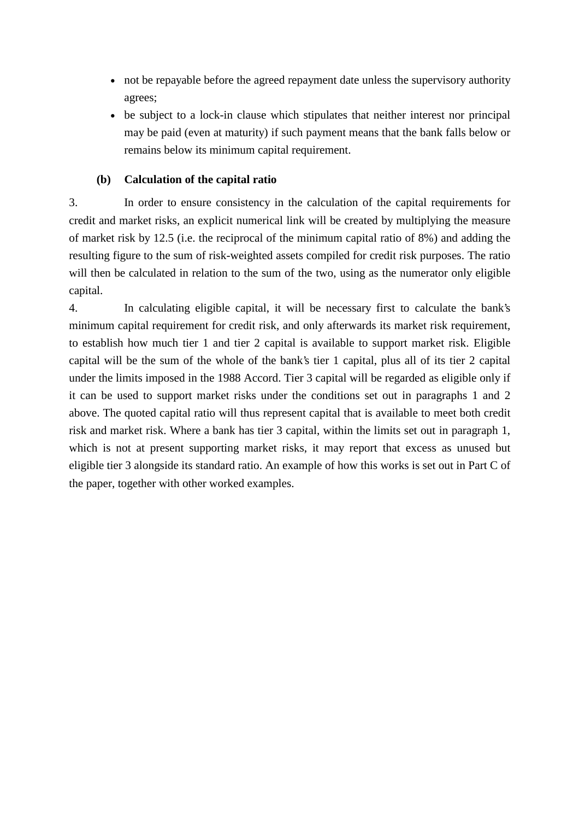- not be repayable before the agreed repayment date unless the supervisory authority agrees;
- be subject to a lock-in clause which stipulates that neither interest nor principal may be paid (even at maturity) if such payment means that the bank falls below or remains below its minimum capital requirement.

### **(b) Calculation of the capital ratio**

3. In order to ensure consistency in the calculation of the capital requirements for credit and market risks, an explicit numerical link will be created by multiplying the measure of market risk by 12.5 (i.e. the reciprocal of the minimum capital ratio of 8%) and adding the resulting figure to the sum of risk-weighted assets compiled for credit risk purposes. The ratio will then be calculated in relation to the sum of the two, using as the numerator only eligible capital.

4. In calculating eligible capital, it will be necessary first to calculate the bank's minimum capital requirement for credit risk, and only afterwards its market risk requirement, to establish how much tier 1 and tier 2 capital is available to support market risk. Eligible capital will be the sum of the whole of the bank's tier 1 capital, plus all of its tier 2 capital under the limits imposed in the 1988 Accord. Tier 3 capital will be regarded as eligible only if it can be used to support market risks under the conditions set out in paragraphs 1 and 2 above. The quoted capital ratio will thus represent capital that is available to meet both credit risk and market risk. Where a bank has tier 3 capital, within the limits set out in paragraph 1, which is not at present supporting market risks, it may report that excess as unused but eligible tier 3 alongside its standard ratio. An example of how this works is set out in Part C of the paper, together with other worked examples.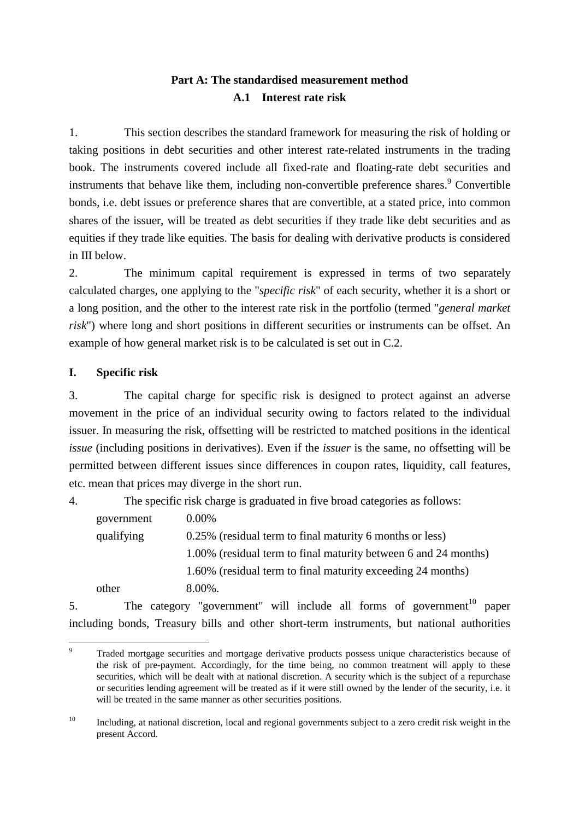# **Part A: The standardised measurement method A.1 Interest rate risk**

1. This section describes the standard framework for measuring the risk of holding or taking positions in debt securities and other interest rate-related instruments in the trading book. The instruments covered include all fixed-rate and floating-rate debt securities and instruments that behave like them, including non-convertible preference shares. Convertible bonds, i.e. debt issues or preference shares that are convertible, at a stated price, into common shares of the issuer, will be treated as debt securities if they trade like debt securities and as equities if they trade like equities. The basis for dealing with derivative products is considered in III below.

2. The minimum capital requirement is expressed in terms of two separately calculated charges, one applying to the "*specific risk*" of each security, whether it is a short or a long position, and the other to the interest rate risk in the portfolio (termed "*general market risk*") where long and short positions in different securities or instruments can be offset. An example of how general market risk is to be calculated is set out in C.2.

### **I. Specific risk**

3. The capital charge for specific risk is designed to protect against an adverse movement in the price of an individual security owing to factors related to the individual issuer. In measuring the risk, offsetting will be restricted to matched positions in the identical *issue* (including positions in derivatives). Even if the *issuer* is the same, no offsetting will be permitted between different issues since differences in coupon rates, liquidity, call features, etc. mean that prices may diverge in the short run.

4. The specific risk charge is graduated in five broad categories as follows:

government 0.00% qualifying 0.25% (residual term to final maturity 6 months or less) 1.00% (residual term to final maturity between 6 and 24 months) 1.60% (residual term to final maturity exceeding 24 months) other 8.00%.

5. The category "government" will include all forms of government<sup>10</sup> paper including bonds, Treasury bills and other short-term instruments, but national authorities

 $\alpha$ Traded mortgage securities and mortgage derivative products possess unique characteristics because of the risk of pre-payment. Accordingly, for the time being, no common treatment will apply to these securities, which will be dealt with at national discretion. A security which is the subject of a repurchase or securities lending agreement will be treated as if it were still owned by the lender of the security, i.e. it will be treated in the same manner as other securities positions.

<sup>&</sup>lt;sup>10</sup> Including, at national discretion, local and regional governments subject to a zero credit risk weight in the present Accord.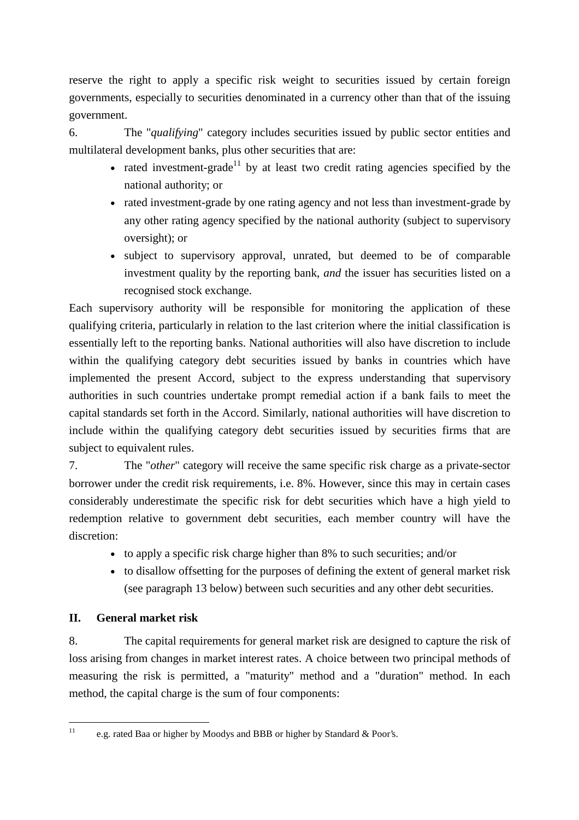reserve the right to apply a specific risk weight to securities issued by certain foreign governments, especially to securities denominated in a currency other than that of the issuing government.

6. The "*qualifying*" category includes securities issued by public sector entities and multilateral development banks, plus other securities that are:

- rated investment-grade<sup>11</sup> by at least two credit rating agencies specified by the national authority; or
- rated investment-grade by one rating agency and not less than investment-grade by any other rating agency specified by the national authority (subject to supervisory oversight); or
- subject to supervisory approval, unrated, but deemed to be of comparable investment quality by the reporting bank, *and* the issuer has securities listed on a recognised stock exchange.

Each supervisory authority will be responsible for monitoring the application of these qualifying criteria, particularly in relation to the last criterion where the initial classification is essentially left to the reporting banks. National authorities will also have discretion to include within the qualifying category debt securities issued by banks in countries which have implemented the present Accord, subject to the express understanding that supervisory authorities in such countries undertake prompt remedial action if a bank fails to meet the capital standards set forth in the Accord. Similarly, national authorities will have discretion to include within the qualifying category debt securities issued by securities firms that are subject to equivalent rules.

7. The "*other*" category will receive the same specific risk charge as a private-sector borrower under the credit risk requirements, i.e. 8%. However, since this may in certain cases considerably underestimate the specific risk for debt securities which have a high yield to redemption relative to government debt securities, each member country will have the discretion:

- to apply a specific risk charge higher than 8% to such securities; and/or
- to disallow offsetting for the purposes of defining the extent of general market risk (see paragraph 13 below) between such securities and any other debt securities.

# **II. General market risk**

8. The capital requirements for general market risk are designed to capture the risk of loss arising from changes in market interest rates. A choice between two principal methods of measuring the risk is permitted, a "maturity" method and a "duration" method. In each method, the capital charge is the sum of four components:

 $11$ e.g. rated Baa or higher by Moodys and BBB or higher by Standard & Poor's.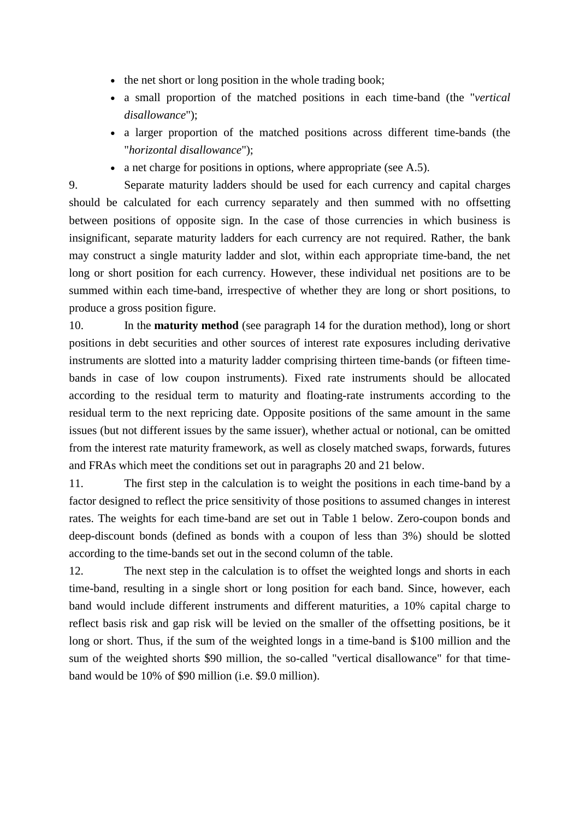- the net short or long position in the whole trading book;
- a small proportion of the matched positions in each time-band (the "*vertical disallowance*");
- a larger proportion of the matched positions across different time-bands (the "*horizontal disallowance*");
- a net charge for positions in options, where appropriate (see A.5).

9. Separate maturity ladders should be used for each currency and capital charges should be calculated for each currency separately and then summed with no offsetting between positions of opposite sign. In the case of those currencies in which business is insignificant, separate maturity ladders for each currency are not required. Rather, the bank may construct a single maturity ladder and slot, within each appropriate time-band, the net long or short position for each currency. However, these individual net positions are to be summed within each time-band, irrespective of whether they are long or short positions, to produce a gross position figure.

10. In the **maturity method** (see paragraph 14 for the duration method), long or short positions in debt securities and other sources of interest rate exposures including derivative instruments are slotted into a maturity ladder comprising thirteen time-bands (or fifteen timebands in case of low coupon instruments). Fixed rate instruments should be allocated according to the residual term to maturity and floating-rate instruments according to the residual term to the next repricing date. Opposite positions of the same amount in the same issues (but not different issues by the same issuer), whether actual or notional, can be omitted from the interest rate maturity framework, as well as closely matched swaps, forwards, futures and FRAs which meet the conditions set out in paragraphs 20 and 21 below.

11. The first step in the calculation is to weight the positions in each time-band by a factor designed to reflect the price sensitivity of those positions to assumed changes in interest rates. The weights for each time-band are set out in Table 1 below. Zero-coupon bonds and deep-discount bonds (defined as bonds with a coupon of less than 3%) should be slotted according to the time-bands set out in the second column of the table.

12. The next step in the calculation is to offset the weighted longs and shorts in each time-band, resulting in a single short or long position for each band. Since, however, each band would include different instruments and different maturities, a 10% capital charge to reflect basis risk and gap risk will be levied on the smaller of the offsetting positions, be it long or short. Thus, if the sum of the weighted longs in a time-band is \$100 million and the sum of the weighted shorts \$90 million, the so-called "vertical disallowance" for that timeband would be 10% of \$90 million (i.e. \$9.0 million).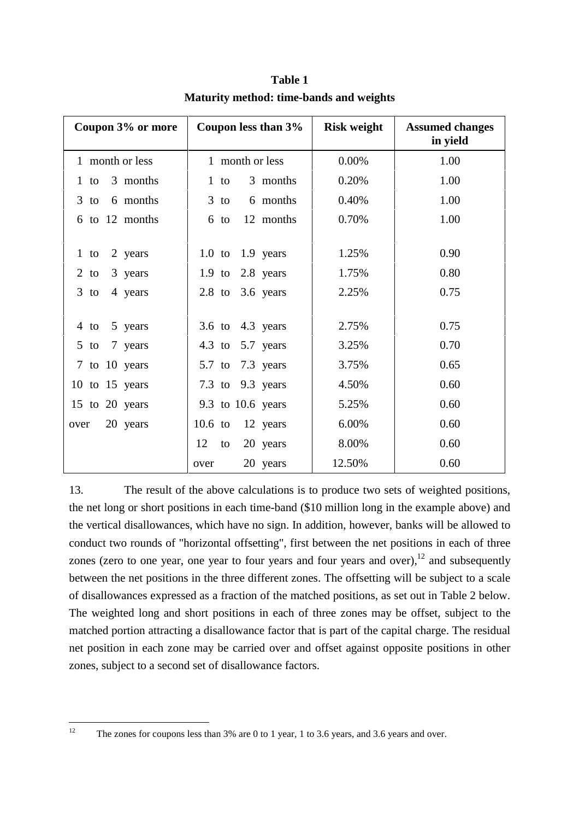| Coupon 3% or more             | Coupon less than 3%   | <b>Risk weight</b> | <b>Assumed changes</b><br>in yield |
|-------------------------------|-----------------------|--------------------|------------------------------------|
| 1 month or less               | 1 month or less       | 0.00%              | 1.00                               |
| 3 months<br>$1$ to            | 3 months<br>$1$ to    | 0.20%              | 1.00                               |
| 6 months<br>3<br>to           | 6 months<br>$3$ to    | 0.40%              | 1.00                               |
| 6 to 12 months                | 12 months<br>$6$ to   | 0.70%              | 1.00                               |
|                               |                       |                    |                                    |
| $\mathbf{1}$<br>2 years<br>to | $1.0$ to<br>1.9 years | 1.25%              | 0.90                               |
| 3 years<br>2<br>to            | 2.8 years<br>$1.9$ to | 1.75%              | 0.80                               |
| $3$ to<br>4 years             | 3.6 years<br>$2.8$ to | 2.25%              | 0.75                               |
|                               |                       |                    |                                    |
| $4$ to<br>5 years             | 3.6 to $4.3$ years    | 2.75%              | 0.75                               |
| 7 years<br>$5$ to             | 4.3 to<br>5.7 years   | 3.25%              | 0.70                               |
| to 10 years<br>$\tau$         | $5.7$ to<br>7.3 years | 3.75%              | 0.65                               |
| 10 to 15 years                | 9.3 years<br>7.3 to   | 4.50%              | 0.60                               |
| 15 to 20 years                | 9.3 to 10.6 years     | 5.25%              | 0.60                               |
| 20 years<br>over              | $10.6$ to<br>12 years | 6.00%              | 0.60                               |
|                               | 12<br>20 years<br>to  | 8.00%              | 0.60                               |
|                               | 20 years<br>over      | 12.50%             | 0.60                               |

**Table 1 Maturity method: time-bands and weights**

13. The result of the above calculations is to produce two sets of weighted positions, the net long or short positions in each time-band (\$10 million long in the example above) and the vertical disallowances, which have no sign. In addition, however, banks will be allowed to conduct two rounds of "horizontal offsetting", first between the net positions in each of three zones (zero to one year, one year to four years and four years and over), $12$  and subsequently between the net positions in the three different zones. The offsetting will be subject to a scale of disallowances expressed as a fraction of the matched positions, as set out in Table 2 below. The weighted long and short positions in each of three zones may be offset, subject to the matched portion attracting a disallowance factor that is part of the capital charge. The residual net position in each zone may be carried over and offset against opposite positions in other zones, subject to a second set of disallowance factors.

 $12$ 

The zones for coupons less than  $3\%$  are 0 to 1 year, 1 to 3.6 years, and 3.6 years and over.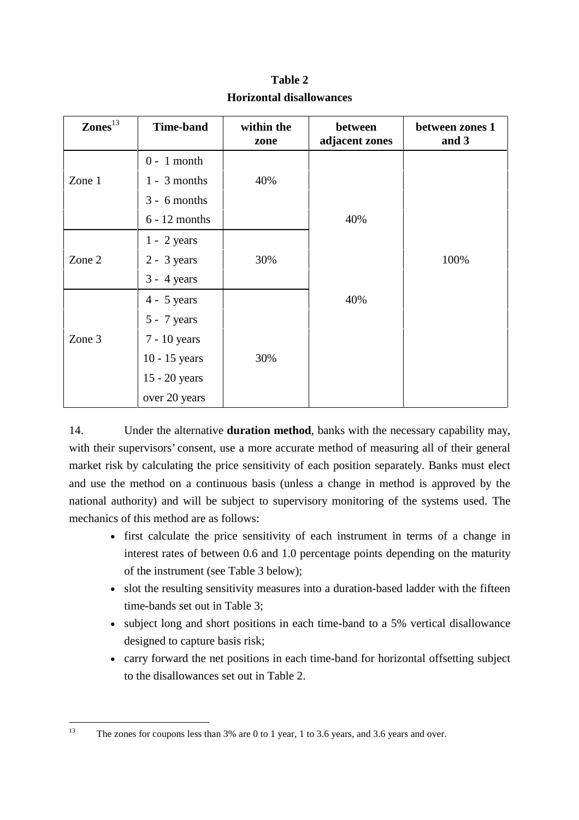| $\mathrm{Zones}^{13}$ | <b>Time-band</b> | within the<br>zone | between<br>adjacent zones | between zones 1<br>and 3 |
|-----------------------|------------------|--------------------|---------------------------|--------------------------|
|                       | $0 - 1$ month    |                    |                           |                          |
| Zone 1                | $1 - 3$ months   | 40%                |                           |                          |
|                       | $3 - 6$ months   |                    |                           |                          |
|                       | $6 - 12$ months  |                    | 40%                       |                          |
|                       | $1 - 2$ years    |                    |                           |                          |
| Zone 2                | $2 - 3$ years    | 30%                |                           | 100%                     |
|                       | $3 - 4$ years    |                    |                           |                          |
|                       | $4 - 5$ years    |                    | 40%                       |                          |
|                       | $5 - 7$ years    |                    |                           |                          |
| Zone 3                | 7 - 10 years     |                    |                           |                          |
|                       | $10 - 15$ years  | 30%                |                           |                          |
|                       | 15 - 20 years    |                    |                           |                          |
|                       | over 20 years    |                    |                           |                          |

**Table 2 Horizontal disallowances**

14. Under the alternative **duration method**, banks with the necessary capability may, with their supervisors' consent, use a more accurate method of measuring all of their general market risk by calculating the price sensitivity of each position separately. Banks must elect and use the method on a continuous basis (unless a change in method is approved by the national authority) and will be subject to supervisory monitoring of the systems used. The mechanics of this method are as follows:

- first calculate the price sensitivity of each instrument in terms of a change in interest rates of between 0.6 and 1.0 percentage points depending on the maturity of the instrument (see Table 3 below);
- slot the resulting sensitivity measures into a duration-based ladder with the fifteen time-bands set out in Table 3;
- subject long and short positions in each time-band to a 5% vertical disallowance designed to capture basis risk;
- carry forward the net positions in each time-band for horizontal offsetting subject to the disallowances set out in Table 2.

 $13$ The zones for coupons less than  $3\%$  are 0 to 1 year, 1 to 3.6 years, and 3.6 years and over.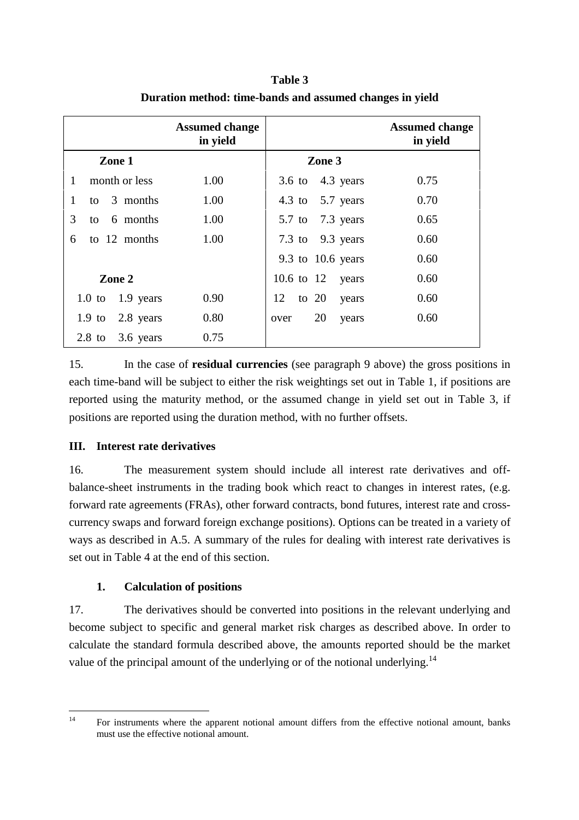|                               | <b>Assumed change</b><br>in yield |                        | <b>Assumed change</b><br>in yield |
|-------------------------------|-----------------------------------|------------------------|-----------------------------------|
| Zone 1                        |                                   | Zone 3                 |                                   |
| month or less                 | 1.00                              | 3.6 to $4.3$ years     | 0.75                              |
| 3 months<br>to                | 1.00                              | 5.7 years<br>4.3 to    | 0.70                              |
| 3<br>6 months<br>to           | 1.00                              | 5.7 to 7.3 years       | 0.65                              |
| to 12 months<br>6             | 1.00                              | 7.3 to 9.3 years       | 0.60                              |
|                               |                                   | 9.3 to 10.6 years      | 0.60                              |
| Zone 2                        |                                   | 10.6 to 12<br>years    | 0.60                              |
| 1.9 years<br>$1.0$ to         | 0.90                              | 12<br>to $20$<br>years | 0.60                              |
| 2.8 years<br>$1.9 \text{ to}$ | 0.80                              | 20<br>years<br>over    | 0.60                              |
| 3.6 years<br>$2.8 \text{ to}$ | 0.75                              |                        |                                   |

**Table 3 Duration method: time-bands and assumed changes in yield**

15. In the case of **residual currencies** (see paragraph 9 above) the gross positions in each time-band will be subject to either the risk weightings set out in Table 1, if positions are reported using the maturity method, or the assumed change in yield set out in Table 3, if positions are reported using the duration method, with no further offsets.

### **III. Interest rate derivatives**

16. The measurement system should include all interest rate derivatives and offbalance-sheet instruments in the trading book which react to changes in interest rates, (e.g. forward rate agreements (FRAs), other forward contracts, bond futures, interest rate and crosscurrency swaps and forward foreign exchange positions). Options can be treated in a variety of ways as described in A.5. A summary of the rules for dealing with interest rate derivatives is set out in Table 4 at the end of this section.

### **1. Calculation of positions**

17. The derivatives should be converted into positions in the relevant underlying and become subject to specific and general market risk charges as described above. In order to calculate the standard formula described above, the amounts reported should be the market value of the principal amount of the underlying or of the notional underlying.<sup>14</sup>

 $14$ <sup>14</sup> For instruments where the apparent notional amount differs from the effective notional amount, banks must use the effective notional amount.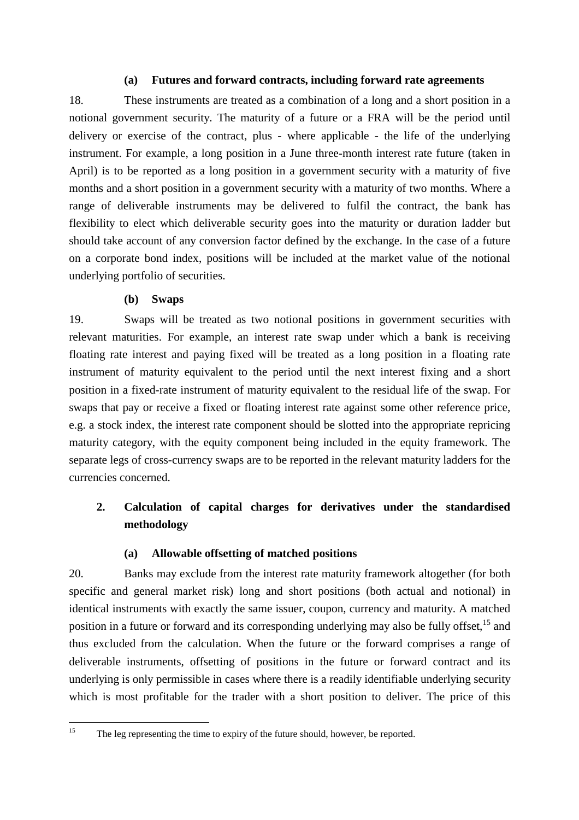### **(a) Futures and forward contracts, including forward rate agreements**

18. These instruments are treated as a combination of a long and a short position in a notional government security. The maturity of a future or a FRA will be the period until delivery or exercise of the contract, plus - where applicable - the life of the underlying instrument. For example, a long position in a June three-month interest rate future (taken in April) is to be reported as a long position in a government security with a maturity of five months and a short position in a government security with a maturity of two months. Where a range of deliverable instruments may be delivered to fulfil the contract, the bank has flexibility to elect which deliverable security goes into the maturity or duration ladder but should take account of any conversion factor defined by the exchange. In the case of a future on a corporate bond index, positions will be included at the market value of the notional underlying portfolio of securities.

### **(b) Swaps**

19. Swaps will be treated as two notional positions in government securities with relevant maturities. For example, an interest rate swap under which a bank is receiving floating rate interest and paying fixed will be treated as a long position in a floating rate instrument of maturity equivalent to the period until the next interest fixing and a short position in a fixed-rate instrument of maturity equivalent to the residual life of the swap. For swaps that pay or receive a fixed or floating interest rate against some other reference price, e.g. a stock index, the interest rate component should be slotted into the appropriate repricing maturity category, with the equity component being included in the equity framework. The separate legs of cross-currency swaps are to be reported in the relevant maturity ladders for the currencies concerned.

# **2. Calculation of capital charges for derivatives under the standardised methodology**

### **(a) Allowable offsetting of matched positions**

20. Banks may exclude from the interest rate maturity framework altogether (for both specific and general market risk) long and short positions (both actual and notional) in identical instruments with exactly the same issuer, coupon, currency and maturity. A matched position in a future or forward and its corresponding underlying may also be fully offset,<sup>15</sup> and thus excluded from the calculation. When the future or the forward comprises a range of deliverable instruments, offsetting of positions in the future or forward contract and its underlying is only permissible in cases where there is a readily identifiable underlying security which is most profitable for the trader with a short position to deliver. The price of this

 $15$ 

The leg representing the time to expiry of the future should, however, be reported.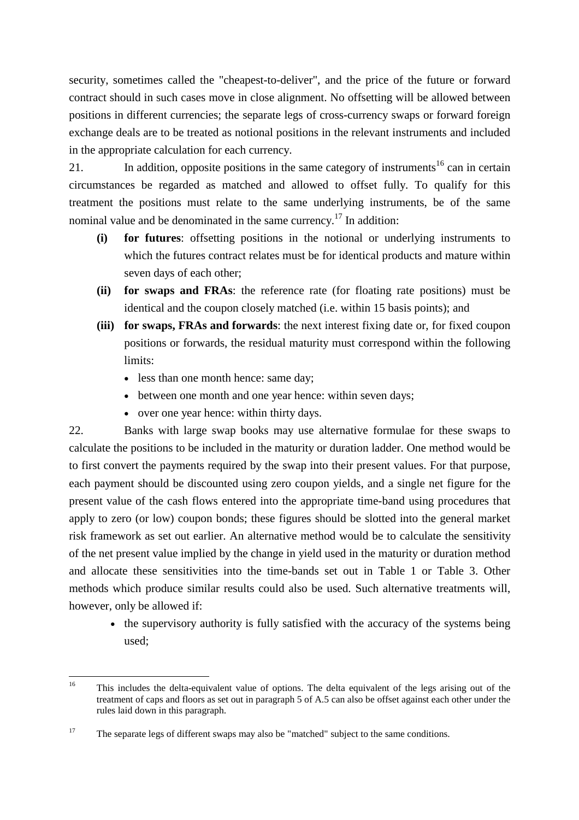security, sometimes called the "cheapest-to-deliver", and the price of the future or forward contract should in such cases move in close alignment. No offsetting will be allowed between positions in different currencies; the separate legs of cross-currency swaps or forward foreign exchange deals are to be treated as notional positions in the relevant instruments and included in the appropriate calculation for each currency.

21. In addition, opposite positions in the same category of instruments<sup>16</sup> can in certain circumstances be regarded as matched and allowed to offset fully. To qualify for this treatment the positions must relate to the same underlying instruments, be of the same nominal value and be denominated in the same currency.<sup>17</sup> In addition:

- **(i) for futures**: offsetting positions in the notional or underlying instruments to which the futures contract relates must be for identical products and mature within seven days of each other;
- **(ii) for swaps and FRAs**: the reference rate (for floating rate positions) must be identical and the coupon closely matched (i.e. within 15 basis points); and
- **(iii) for swaps, FRAs and forwards**: the next interest fixing date or, for fixed coupon positions or forwards, the residual maturity must correspond within the following limits:
	- less than one month hence: same day;
	- between one month and one year hence: within seven days;
	- over one year hence: within thirty days.

22. Banks with large swap books may use alternative formulae for these swaps to calculate the positions to be included in the maturity or duration ladder. One method would be to first convert the payments required by the swap into their present values. For that purpose, each payment should be discounted using zero coupon yields, and a single net figure for the present value of the cash flows entered into the appropriate time-band using procedures that apply to zero (or low) coupon bonds; these figures should be slotted into the general market risk framework as set out earlier. An alternative method would be to calculate the sensitivity of the net present value implied by the change in yield used in the maturity or duration method and allocate these sensitivities into the time-bands set out in Table 1 or Table 3. Other methods which produce similar results could also be used. Such alternative treatments will, however, only be allowed if:

• the supervisory authority is fully satisfied with the accuracy of the systems being used;

 $16$ <sup>16</sup> This includes the delta-equivalent value of options. The delta equivalent of the legs arising out of the treatment of caps and floors as set out in paragraph 5 of A.5 can also be offset against each other under the rules laid down in this paragraph.

<sup>&</sup>lt;sup>17</sup> The separate legs of different swaps may also be "matched" subject to the same conditions.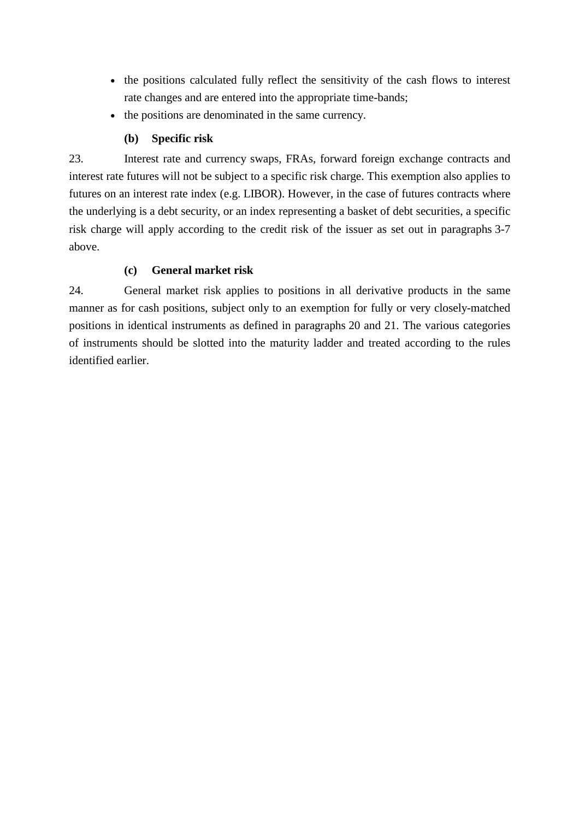- the positions calculated fully reflect the sensitivity of the cash flows to interest rate changes and are entered into the appropriate time-bands;
- the positions are denominated in the same currency.

## **(b) Specific risk**

23. Interest rate and currency swaps, FRAs, forward foreign exchange contracts and interest rate futures will not be subject to a specific risk charge. This exemption also applies to futures on an interest rate index (e.g. LIBOR). However, in the case of futures contracts where the underlying is a debt security, or an index representing a basket of debt securities, a specific risk charge will apply according to the credit risk of the issuer as set out in paragraphs 3-7 above.

## **(c) General market risk**

24. General market risk applies to positions in all derivative products in the same manner as for cash positions, subject only to an exemption for fully or very closely-matched positions in identical instruments as defined in paragraphs 20 and 21. The various categories of instruments should be slotted into the maturity ladder and treated according to the rules identified earlier.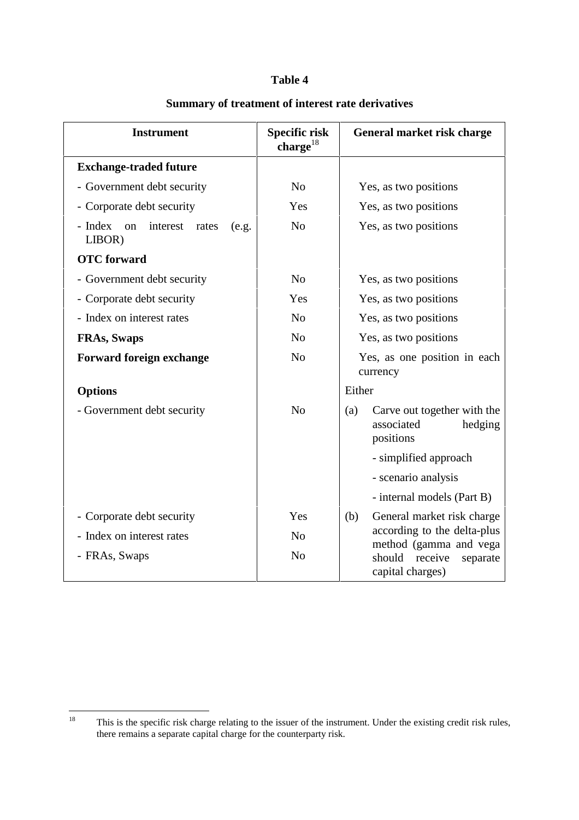#### **Table 4**

| <b>Instrument</b>                                     | <b>Specific risk</b><br>charge $^{18}$ | General market risk charge                                               |
|-------------------------------------------------------|----------------------------------------|--------------------------------------------------------------------------|
| <b>Exchange-traded future</b>                         |                                        |                                                                          |
| - Government debt security                            | N <sub>0</sub>                         | Yes, as two positions                                                    |
| - Corporate debt security                             | Yes                                    | Yes, as two positions                                                    |
| - Index<br>interest<br>on<br>rates<br>(e.g.<br>LIBOR) | No                                     | Yes, as two positions                                                    |
| <b>OTC</b> forward                                    |                                        |                                                                          |
| - Government debt security                            | N <sub>0</sub>                         | Yes, as two positions                                                    |
| - Corporate debt security                             | Yes                                    | Yes, as two positions                                                    |
| - Index on interest rates                             | N <sub>0</sub>                         | Yes, as two positions                                                    |
| <b>FRAs, Swaps</b>                                    | N <sub>o</sub>                         | Yes, as two positions                                                    |
| <b>Forward foreign exchange</b>                       | N <sub>o</sub>                         | Yes, as one position in each<br>currency                                 |
| <b>Options</b>                                        |                                        | Either                                                                   |
| - Government debt security                            | N <sub>o</sub>                         | Carve out together with the<br>(a)<br>associated<br>hedging<br>positions |
|                                                       |                                        | - simplified approach                                                    |
|                                                       |                                        | - scenario analysis                                                      |
|                                                       |                                        | - internal models (Part B)                                               |
| - Corporate debt security                             | Yes                                    | (b)<br>General market risk charge                                        |
| - Index on interest rates                             | No                                     | according to the delta-plus<br>method (gamma and vega                    |
| - FRAs, Swaps                                         | N <sub>o</sub>                         | should<br>receive<br>separate<br>capital charges)                        |

# **Summary of treatment of interest rate derivatives**

 $18\,$ <sup>18</sup> This is the specific risk charge relating to the issuer of the instrument. Under the existing credit risk rules, there remains a separate capital charge for the counterparty risk.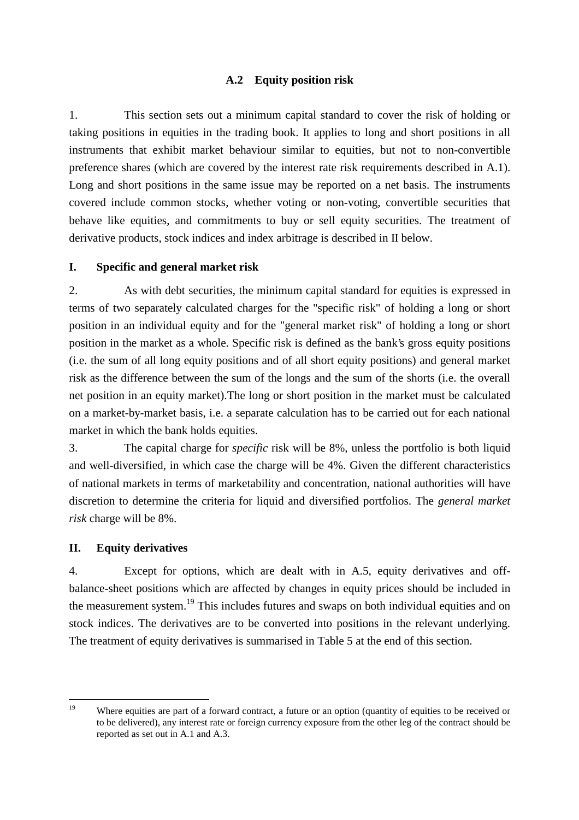#### **A.2 Equity position risk**

1. This section sets out a minimum capital standard to cover the risk of holding or taking positions in equities in the trading book. It applies to long and short positions in all instruments that exhibit market behaviour similar to equities, but not to non-convertible preference shares (which are covered by the interest rate risk requirements described in A.1). Long and short positions in the same issue may be reported on a net basis. The instruments covered include common stocks, whether voting or non-voting, convertible securities that behave like equities, and commitments to buy or sell equity securities. The treatment of derivative products, stock indices and index arbitrage is described in II below.

#### **I. Specific and general market risk**

2. As with debt securities, the minimum capital standard for equities is expressed in terms of two separately calculated charges for the "specific risk" of holding a long or short position in an individual equity and for the "general market risk" of holding a long or short position in the market as a whole. Specific risk is defined as the bank's gross equity positions (i.e. the sum of all long equity positions and of all short equity positions) and general market risk as the difference between the sum of the longs and the sum of the shorts (i.e. the overall net position in an equity market).The long or short position in the market must be calculated on a market-by-market basis, i.e. a separate calculation has to be carried out for each national market in which the bank holds equities.

3. The capital charge for *specific* risk will be 8%, unless the portfolio is both liquid and well-diversified, in which case the charge will be 4%. Given the different characteristics of national markets in terms of marketability and concentration, national authorities will have discretion to determine the criteria for liquid and diversified portfolios. The *general market risk* charge will be 8%.

#### **II. Equity derivatives**

4. Except for options, which are dealt with in A.5, equity derivatives and offbalance-sheet positions which are affected by changes in equity prices should be included in the measurement system.<sup>19</sup> This includes futures and swaps on both individual equities and on stock indices. The derivatives are to be converted into positions in the relevant underlying. The treatment of equity derivatives is summarised in Table 5 at the end of this section.

 $19$ <sup>19</sup> Where equities are part of a forward contract, a future or an option (quantity of equities to be received or to be delivered), any interest rate or foreign currency exposure from the other leg of the contract should be reported as set out in A.1 and A.3.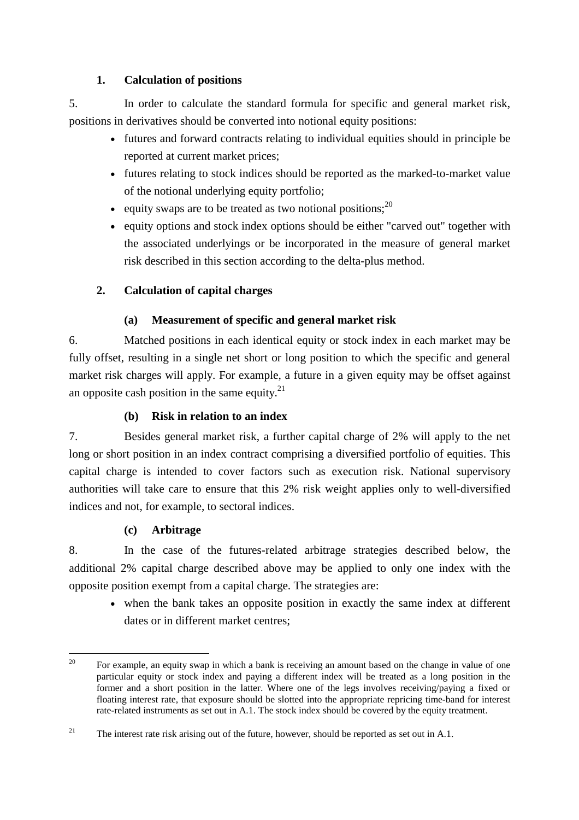## **1. Calculation of positions**

5. In order to calculate the standard formula for specific and general market risk, positions in derivatives should be converted into notional equity positions:

- futures and forward contracts relating to individual equities should in principle be reported at current market prices;
- futures relating to stock indices should be reported as the marked-to-market value of the notional underlying equity portfolio;
- equity swaps are to be treated as two notional positions;  $^{20}$
- equity options and stock index options should be either "carved out" together with the associated underlyings or be incorporated in the measure of general market risk described in this section according to the delta-plus method.

# **2. Calculation of capital charges**

# **(a) Measurement of specific and general market risk**

6. Matched positions in each identical equity or stock index in each market may be fully offset, resulting in a single net short or long position to which the specific and general market risk charges will apply. For example, a future in a given equity may be offset against an opposite cash position in the same equity. $2<sup>1</sup>$ 

## **(b) Risk in relation to an index**

7. Besides general market risk, a further capital charge of 2% will apply to the net long or short position in an index contract comprising a diversified portfolio of equities. This capital charge is intended to cover factors such as execution risk. National supervisory authorities will take care to ensure that this 2% risk weight applies only to well-diversified indices and not, for example, to sectoral indices.

## **(c) Arbitrage**

8. In the case of the futures-related arbitrage strategies described below, the additional 2% capital charge described above may be applied to only one index with the opposite position exempt from a capital charge. The strategies are:

• when the bank takes an opposite position in exactly the same index at different dates or in different market centres;

 $20$ For example, an equity swap in which a bank is receiving an amount based on the change in value of one particular equity or stock index and paying a different index will be treated as a long position in the former and a short position in the latter. Where one of the legs involves receiving/paying a fixed or floating interest rate, that exposure should be slotted into the appropriate repricing time-band for interest rate-related instruments as set out in A.1. The stock index should be covered by the equity treatment.

<sup>&</sup>lt;sup>21</sup> The interest rate risk arising out of the future, however, should be reported as set out in A.1.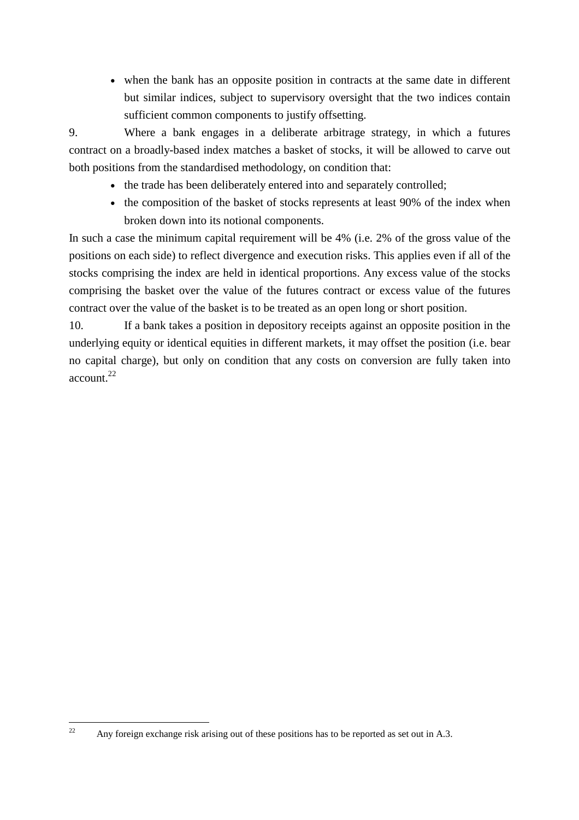• when the bank has an opposite position in contracts at the same date in different but similar indices, subject to supervisory oversight that the two indices contain sufficient common components to justify offsetting.

9. Where a bank engages in a deliberate arbitrage strategy, in which a futures contract on a broadly-based index matches a basket of stocks, it will be allowed to carve out both positions from the standardised methodology, on condition that:

- the trade has been deliberately entered into and separately controlled;
- the composition of the basket of stocks represents at least 90% of the index when broken down into its notional components.

In such a case the minimum capital requirement will be 4% (i.e. 2% of the gross value of the positions on each side) to reflect divergence and execution risks. This applies even if all of the stocks comprising the index are held in identical proportions. Any excess value of the stocks comprising the basket over the value of the futures contract or excess value of the futures contract over the value of the basket is to be treated as an open long or short position.

10. If a bank takes a position in depository receipts against an opposite position in the underlying equity or identical equities in different markets, it may offset the position (i.e. bear no capital charge), but only on condition that any costs on conversion are fully taken into account.22

 $\overline{22}$ Any foreign exchange risk arising out of these positions has to be reported as set out in A.3.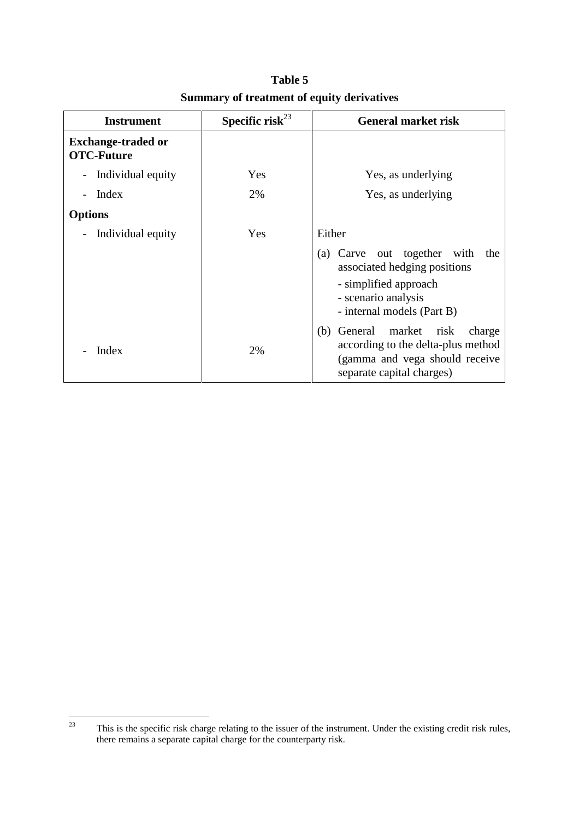| <b>Instrument</b>                              | Specific risk <sup>23</sup> | <b>General market risk</b>                                                                                                                       |
|------------------------------------------------|-----------------------------|--------------------------------------------------------------------------------------------------------------------------------------------------|
| <b>Exchange-traded or</b><br><b>OTC-Future</b> |                             |                                                                                                                                                  |
| Individual equity<br>$\qquad \qquad -$         | Yes                         | Yes, as underlying                                                                                                                               |
| Index                                          | 2%                          | Yes, as underlying                                                                                                                               |
| <b>Options</b>                                 |                             |                                                                                                                                                  |
| Individual equity<br>$\overline{\phantom{0}}$  | Yes                         | Either                                                                                                                                           |
|                                                |                             | (a) Carve out together with<br>the<br>associated hedging positions<br>- simplified approach<br>- scenario analysis<br>- internal models (Part B) |
| Index                                          | 2%                          | (b)<br>General market risk<br>charge<br>according to the delta-plus method<br>(gamma and vega should receive<br>separate capital charges)        |

**Table 5 Summary of treatment of equity derivatives**

<sup>23</sup> This is the specific risk charge relating to the issuer of the instrument. Under the existing credit risk rules, there remains a separate capital charge for the counterparty risk.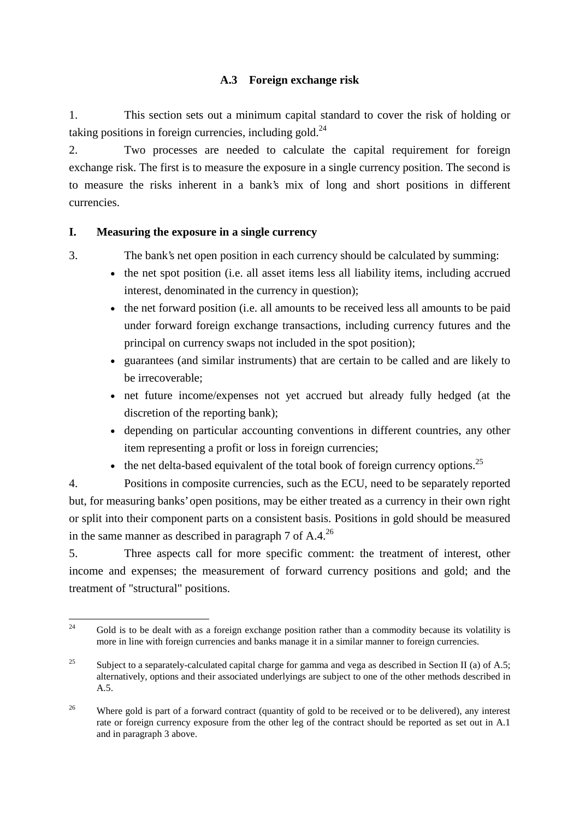## **A.3 Foreign exchange risk**

1. This section sets out a minimum capital standard to cover the risk of holding or taking positions in foreign currencies, including gold. $^{24}$ 

2. Two processes are needed to calculate the capital requirement for foreign exchange risk. The first is to measure the exposure in a single currency position. The second is to measure the risks inherent in a bank's mix of long and short positions in different currencies.

### **I. Measuring the exposure in a single currency**

3. The bank's net open position in each currency should be calculated by summing:

- the net spot position (i.e. all asset items less all liability items, including accrued interest, denominated in the currency in question);
- the net forward position (i.e. all amounts to be received less all amounts to be paid under forward foreign exchange transactions, including currency futures and the principal on currency swaps not included in the spot position);
- guarantees (and similar instruments) that are certain to be called and are likely to be irrecoverable;
- net future income/expenses not yet accrued but already fully hedged (at the discretion of the reporting bank);
- depending on particular accounting conventions in different countries, any other item representing a profit or loss in foreign currencies;
- the net delta-based equivalent of the total book of foreign currency options.<sup>25</sup>

4. Positions in composite currencies, such as the ECU, need to be separately reported but, for measuring banks' open positions, may be either treated as a currency in their own right or split into their component parts on a consistent basis. Positions in gold should be measured in the same manner as described in paragraph 7 of  $A.4^{26}$ 

5. Three aspects call for more specific comment: the treatment of interest, other income and expenses; the measurement of forward currency positions and gold; and the treatment of "structural" positions.

 $24$ Gold is to be dealt with as a foreign exchange position rather than a commodity because its volatility is more in line with foreign currencies and banks manage it in a similar manner to foreign currencies.

<sup>&</sup>lt;sup>25</sup> Subject to a separately-calculated capital charge for gamma and vega as described in Section II (a) of A.5; alternatively, options and their associated underlyings are subject to one of the other methods described in A.5.

<sup>&</sup>lt;sup>26</sup> Where gold is part of a forward contract (quantity of gold to be received or to be delivered), any interest rate or foreign currency exposure from the other leg of the contract should be reported as set out in A.1 and in paragraph 3 above.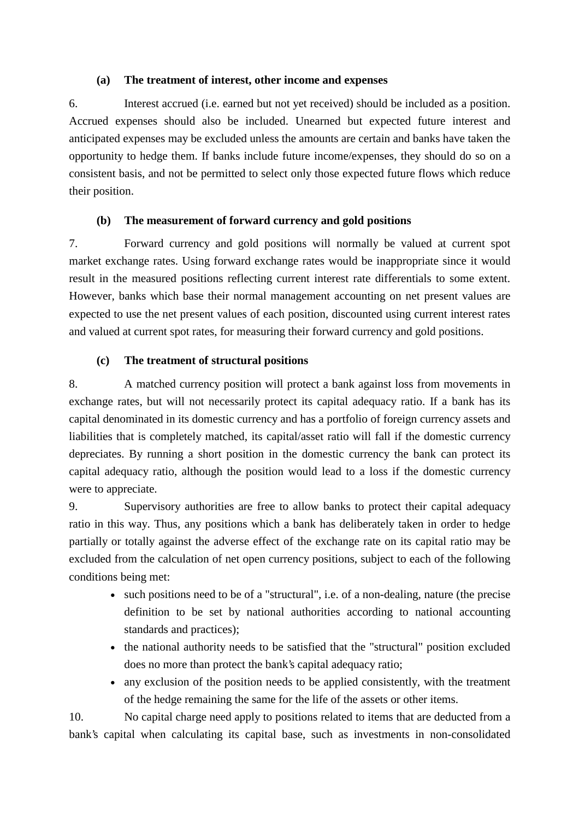### **(a) The treatment of interest, other income and expenses**

6. Interest accrued (i.e. earned but not yet received) should be included as a position. Accrued expenses should also be included. Unearned but expected future interest and anticipated expenses may be excluded unless the amounts are certain and banks have taken the opportunity to hedge them. If banks include future income/expenses, they should do so on a consistent basis, and not be permitted to select only those expected future flows which reduce their position.

### **(b) The measurement of forward currency and gold positions**

7. Forward currency and gold positions will normally be valued at current spot market exchange rates. Using forward exchange rates would be inappropriate since it would result in the measured positions reflecting current interest rate differentials to some extent. However, banks which base their normal management accounting on net present values are expected to use the net present values of each position, discounted using current interest rates and valued at current spot rates, for measuring their forward currency and gold positions.

### **(c) The treatment of structural positions**

8. A matched currency position will protect a bank against loss from movements in exchange rates, but will not necessarily protect its capital adequacy ratio. If a bank has its capital denominated in its domestic currency and has a portfolio of foreign currency assets and liabilities that is completely matched, its capital/asset ratio will fall if the domestic currency depreciates. By running a short position in the domestic currency the bank can protect its capital adequacy ratio, although the position would lead to a loss if the domestic currency were to appreciate.

9. Supervisory authorities are free to allow banks to protect their capital adequacy ratio in this way. Thus, any positions which a bank has deliberately taken in order to hedge partially or totally against the adverse effect of the exchange rate on its capital ratio may be excluded from the calculation of net open currency positions, subject to each of the following conditions being met:

- such positions need to be of a "structural", i.e. of a non-dealing, nature (the precise definition to be set by national authorities according to national accounting standards and practices);
- the national authority needs to be satisfied that the "structural" position excluded does no more than protect the bank's capital adequacy ratio;
- any exclusion of the position needs to be applied consistently, with the treatment of the hedge remaining the same for the life of the assets or other items.

10. No capital charge need apply to positions related to items that are deducted from a bank's capital when calculating its capital base, such as investments in non-consolidated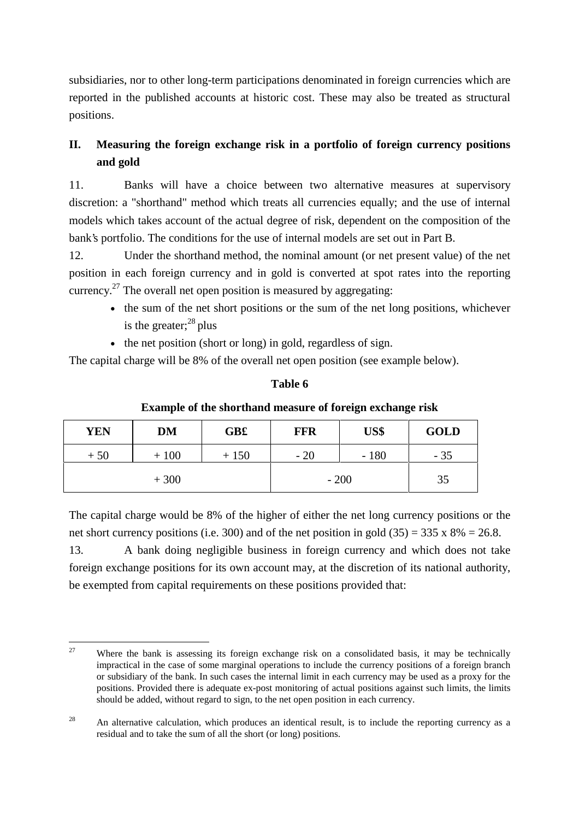subsidiaries, nor to other long-term participations denominated in foreign currencies which are reported in the published accounts at historic cost. These may also be treated as structural positions.

# **II. Measuring the foreign exchange risk in a portfolio of foreign currency positions and gold**

11. Banks will have a choice between two alternative measures at supervisory discretion: a "shorthand" method which treats all currencies equally; and the use of internal models which takes account of the actual degree of risk, dependent on the composition of the bank's portfolio. The conditions for the use of internal models are set out in Part B.

12. Under the shorthand method, the nominal amount (or net present value) of the net position in each foreign currency and in gold is converted at spot rates into the reporting currency.<sup>27</sup> The overall net open position is measured by aggregating:

- the sum of the net short positions or the sum of the net long positions, whichever is the greater; $^{28}$  plus
- the net position (short or long) in gold, regardless of sign.

The capital charge will be 8% of the overall net open position (see example below).

### **Table 6**

### **Example of the shorthand measure of foreign exchange risk**

| <b>YEN</b> | DM     | <b>GB£</b> | <b>FFR</b> | US\$   | <b>GOLD</b> |
|------------|--------|------------|------------|--------|-------------|
| $+50$      | $+100$ | $+150$     | $-20$      | $-180$ | $-35$       |
| $+300$     |        | $-200$     |            | 35     |             |

be exempted from capital requirements on these positions provided that:

The capital charge would be 8% of the higher of either the net long currency positions or the net short currency positions (i.e. 300) and of the net position in gold  $(35) = 335 \times 8\% = 26.8$ . 13. A bank doing negligible business in foreign currency and which does not take foreign exchange positions for its own account may, at the discretion of its national authority,

 $27$ <sup>27</sup> Where the bank is assessing its foreign exchange risk on a consolidated basis, it may be technically impractical in the case of some marginal operations to include the currency positions of a foreign branch or subsidiary of the bank. In such cases the internal limit in each currency may be used as a proxy for the positions. Provided there is adequate ex-post monitoring of actual positions against such limits, the limits should be added, without regard to sign, to the net open position in each currency.

<sup>&</sup>lt;sup>28</sup> An alternative calculation, which produces an identical result, is to include the reporting currency as a residual and to take the sum of all the short (or long) positions.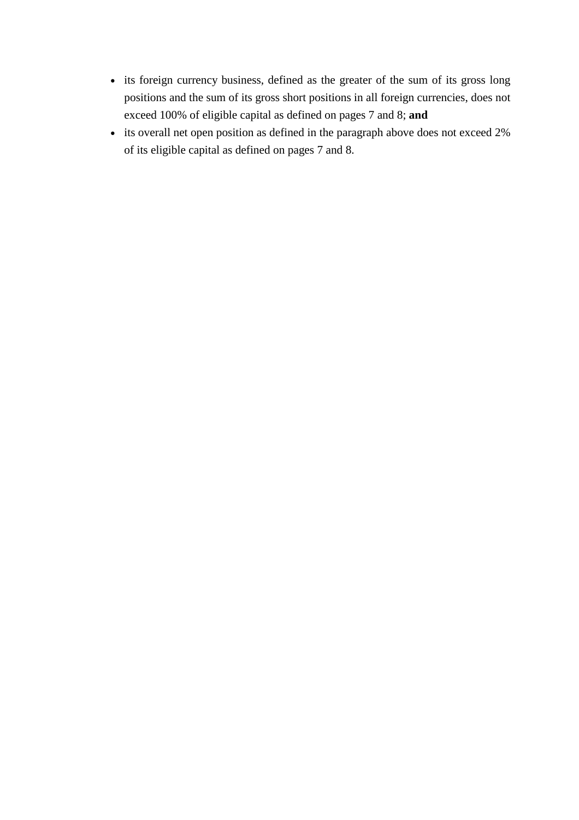- its foreign currency business, defined as the greater of the sum of its gross long positions and the sum of its gross short positions in all foreign currencies, does not exceed 100% of eligible capital as defined on pages 7 and 8; **and**
- its overall net open position as defined in the paragraph above does not exceed 2% of its eligible capital as defined on pages 7 and 8.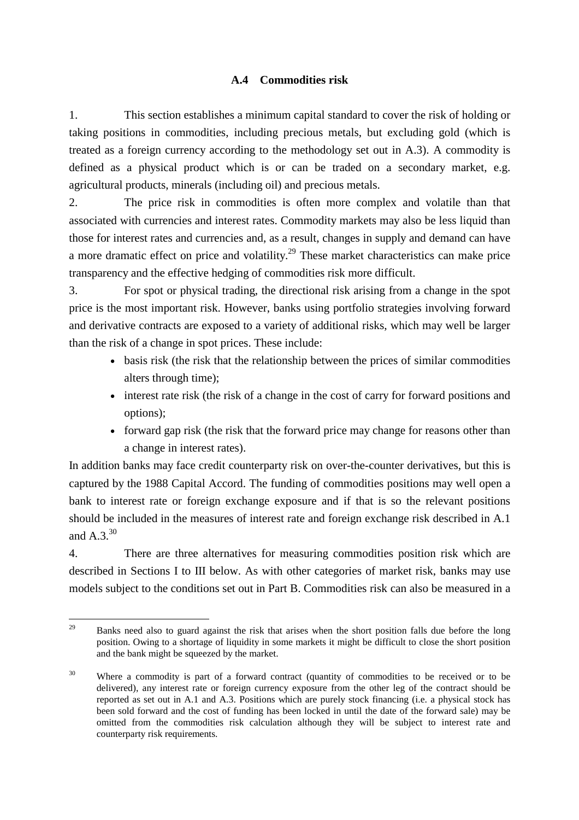### **A.4 Commodities risk**

1. This section establishes a minimum capital standard to cover the risk of holding or taking positions in commodities, including precious metals, but excluding gold (which is treated as a foreign currency according to the methodology set out in A.3). A commodity is defined as a physical product which is or can be traded on a secondary market, e.g. agricultural products, minerals (including oil) and precious metals.

2. The price risk in commodities is often more complex and volatile than that associated with currencies and interest rates. Commodity markets may also be less liquid than those for interest rates and currencies and, as a result, changes in supply and demand can have a more dramatic effect on price and volatility.<sup>29</sup> These market characteristics can make price transparency and the effective hedging of commodities risk more difficult.

3. For spot or physical trading, the directional risk arising from a change in the spot price is the most important risk. However, banks using portfolio strategies involving forward and derivative contracts are exposed to a variety of additional risks, which may well be larger than the risk of a change in spot prices. These include:

- basis risk (the risk that the relationship between the prices of similar commodities alters through time);
- interest rate risk (the risk of a change in the cost of carry for forward positions and options);
- forward gap risk (the risk that the forward price may change for reasons other than a change in interest rates).

In addition banks may face credit counterparty risk on over-the-counter derivatives, but this is captured by the 1988 Capital Accord. The funding of commodities positions may well open a bank to interest rate or foreign exchange exposure and if that is so the relevant positions should be included in the measures of interest rate and foreign exchange risk described in A.1 and A.3. $^{30}$ 

4. There are three alternatives for measuring commodities position risk which are described in Sections I to III below. As with other categories of market risk, banks may use models subject to the conditions set out in Part B. Commodities risk can also be measured in a

 $29$ <sup>29</sup> Banks need also to guard against the risk that arises when the short position falls due before the long position. Owing to a shortage of liquidity in some markets it might be difficult to close the short position and the bank might be squeezed by the market.

<sup>&</sup>lt;sup>30</sup> Where a commodity is part of a forward contract (quantity of commodities to be received or to be delivered), any interest rate or foreign currency exposure from the other leg of the contract should be reported as set out in A.1 and A.3. Positions which are purely stock financing (i.e. a physical stock has been sold forward and the cost of funding has been locked in until the date of the forward sale) may be omitted from the commodities risk calculation although they will be subject to interest rate and counterparty risk requirements.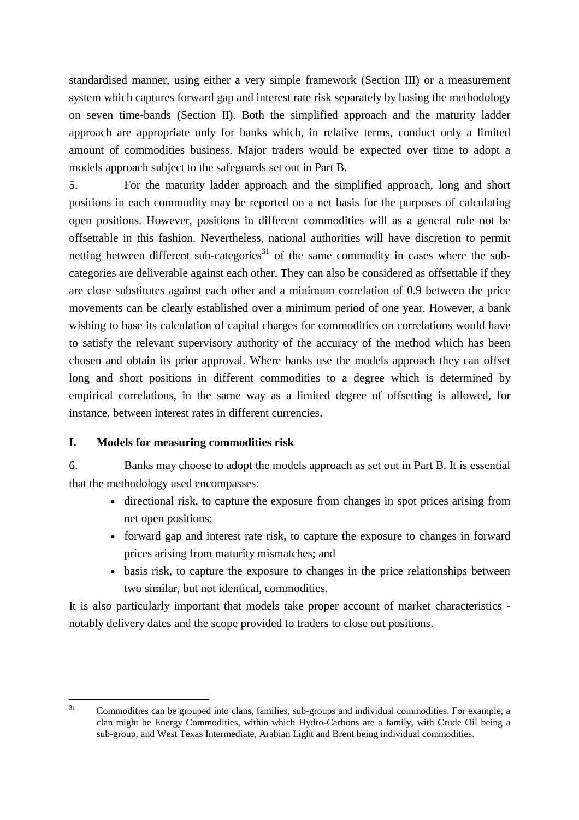standardised manner, using either a very simple framework (Section III) or a measurement system which captures forward gap and interest rate risk separately by basing the methodology on seven time-bands (Section II). Both the simplified approach and the maturity ladder approach are appropriate only for banks which, in relative terms, conduct only a limited amount of commodities business. Major traders would be expected over time to adopt a models approach subject to the safeguards set out in Part B.

5. For the maturity ladder approach and the simplified approach, long and short positions in each commodity may be reported on a net basis for the purposes of calculating open positions. However, positions in different commodities will as a general rule not be offsettable in this fashion. Nevertheless, national authorities will have discretion to permit netting between different sub-categories<sup>31</sup> of the same commodity in cases where the subcategories are deliverable against each other. They can also be considered as offsettable if they are close substitutes against each other and a minimum correlation of 0.9 between the price movements can be clearly established over a minimum period of one year. However, a bank wishing to base its calculation of capital charges for commodities on correlations would have to satisfy the relevant supervisory authority of the accuracy of the method which has been chosen and obtain its prior approval. Where banks use the models approach they can offset long and short positions in different commodities to a degree which is determined by empirical correlations, in the same way as a limited degree of offsetting is allowed, for instance, between interest rates in different currencies.

### **I. Models for measuring commodities risk**

6. Banks may choose to adopt the models approach as set out in Part B. It is essential that the methodology used encompasses:

- directional risk, to capture the exposure from changes in spot prices arising from net open positions;
- forward gap and interest rate risk, to capture the exposure to changes in forward prices arising from maturity mismatches; and
- basis risk, to capture the exposure to changes in the price relationships between two similar, but not identical, commodities.

It is also particularly important that models take proper account of market characteristics notably delivery dates and the scope provided to traders to close out positions.

 $31$ Commodities can be grouped into clans, families, sub-groups and individual commodities. For example, a clan might be Energy Commodities, within which Hydro-Carbons are a family, with Crude Oil being a sub-group, and West Texas Intermediate, Arabian Light and Brent being individual commodities.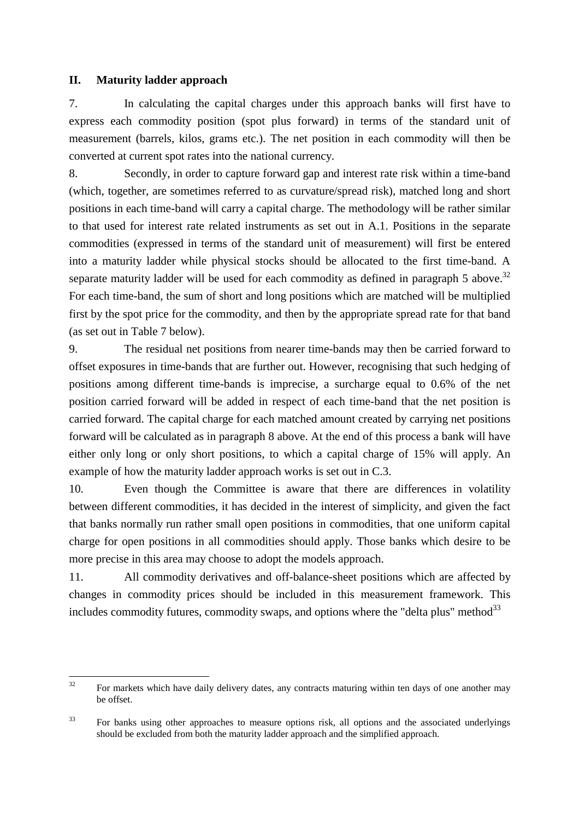#### **II. Maturity ladder approach**

7. In calculating the capital charges under this approach banks will first have to express each commodity position (spot plus forward) in terms of the standard unit of measurement (barrels, kilos, grams etc.). The net position in each commodity will then be converted at current spot rates into the national currency.

8. Secondly, in order to capture forward gap and interest rate risk within a time-band (which, together, are sometimes referred to as curvature/spread risk), matched long and short positions in each time-band will carry a capital charge. The methodology will be rather similar to that used for interest rate related instruments as set out in A.1. Positions in the separate commodities (expressed in terms of the standard unit of measurement) will first be entered into a maturity ladder while physical stocks should be allocated to the first time-band. A separate maturity ladder will be used for each commodity as defined in paragraph 5 above.<sup>32</sup> For each time-band, the sum of short and long positions which are matched will be multiplied first by the spot price for the commodity, and then by the appropriate spread rate for that band (as set out in Table 7 below).

9. The residual net positions from nearer time-bands may then be carried forward to offset exposures in time-bands that are further out. However, recognising that such hedging of positions among different time-bands is imprecise, a surcharge equal to 0.6% of the net position carried forward will be added in respect of each time-band that the net position is carried forward. The capital charge for each matched amount created by carrying net positions forward will be calculated as in paragraph 8 above. At the end of this process a bank will have either only long or only short positions, to which a capital charge of 15% will apply. An example of how the maturity ladder approach works is set out in C.3.

10. Even though the Committee is aware that there are differences in volatility between different commodities, it has decided in the interest of simplicity, and given the fact that banks normally run rather small open positions in commodities, that one uniform capital charge for open positions in all commodities should apply. Those banks which desire to be more precise in this area may choose to adopt the models approach.

11. All commodity derivatives and off-balance-sheet positions which are affected by changes in commodity prices should be included in this measurement framework. This includes commodity futures, commodity swaps, and options where the "delta plus" method<sup>33</sup>

 $32$ <sup>32</sup> For markets which have daily delivery dates, any contracts maturing within ten days of one another may be offset.

<sup>&</sup>lt;sup>33</sup> For banks using other approaches to measure options risk, all options and the associated underlyings should be excluded from both the maturity ladder approach and the simplified approach.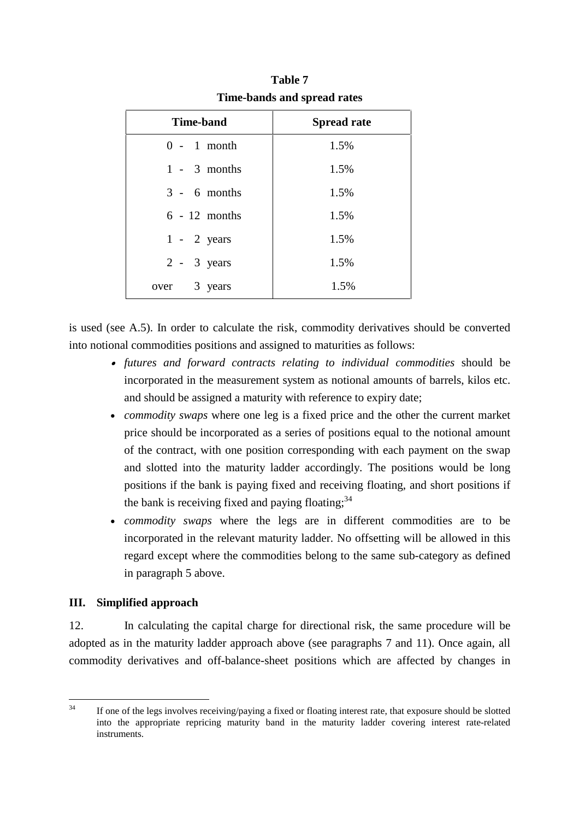| <b>Time-band</b> | <b>Spread rate</b> |
|------------------|--------------------|
| $0 - 1$ month    | 1.5%               |
| $1 - 3$ months   | 1.5%               |
| $3 - 6$ months   | 1.5%               |
| $6 - 12$ months  | 1.5%               |
| $1 - 2$ years    | 1.5%               |
| $2 - 3$ years    | 1.5%               |
| over 3 years     | 1.5%               |

**Table 7 Time-bands and spread rates**

is used (see A.5). In order to calculate the risk, commodity derivatives should be converted into notional commodities positions and assigned to maturities as follows:

- *futures and forward contracts relating to individual commodities* should be incorporated in the measurement system as notional amounts of barrels, kilos etc. and should be assigned a maturity with reference to expiry date;
- *commodity swaps* where one leg is a fixed price and the other the current market price should be incorporated as a series of positions equal to the notional amount of the contract, with one position corresponding with each payment on the swap and slotted into the maturity ladder accordingly. The positions would be long positions if the bank is paying fixed and receiving floating, and short positions if the bank is receiving fixed and paying floating;  $34$
- *commodity swaps* where the legs are in different commodities are to be incorporated in the relevant maturity ladder. No offsetting will be allowed in this regard except where the commodities belong to the same sub-category as defined in paragraph 5 above.

### **III. Simplified approach**

12. In calculating the capital charge for directional risk, the same procedure will be adopted as in the maturity ladder approach above (see paragraphs 7 and 11). Once again, all commodity derivatives and off-balance-sheet positions which are affected by changes in

 $34$ If one of the legs involves receiving/paying a fixed or floating interest rate, that exposure should be slotted into the appropriate repricing maturity band in the maturity ladder covering interest rate-related instruments.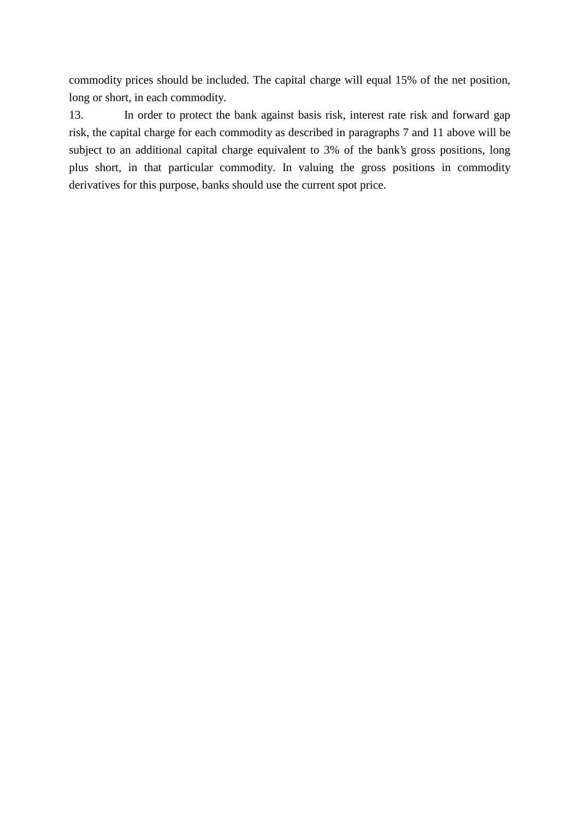commodity prices should be included. The capital charge will equal 15% of the net position, long or short, in each commodity.

13. In order to protect the bank against basis risk, interest rate risk and forward gap risk, the capital charge for each commodity as described in paragraphs 7 and 11 above will be subject to an additional capital charge equivalent to 3% of the bank's gross positions, long plus short, in that particular commodity. In valuing the gross positions in commodity derivatives for this purpose, banks should use the current spot price.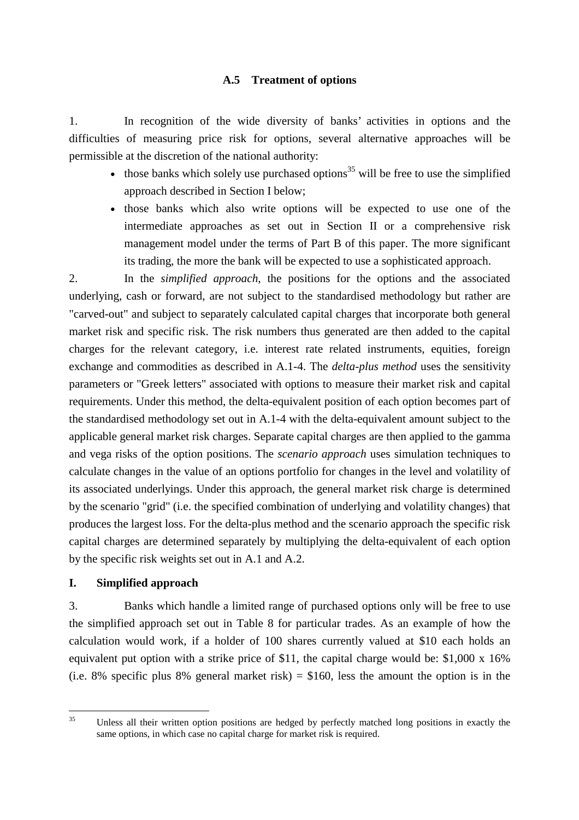#### **A.5 Treatment of options**

1. In recognition of the wide diversity of banks' activities in options and the difficulties of measuring price risk for options, several alternative approaches will be permissible at the discretion of the national authority:

- those banks which solely use purchased options<sup>35</sup> will be free to use the simplified approach described in Section I below;
- those banks which also write options will be expected to use one of the intermediate approaches as set out in Section II or a comprehensive risk management model under the terms of Part B of this paper. The more significant its trading, the more the bank will be expected to use a sophisticated approach.

2. In the *simplified approach*, the positions for the options and the associated underlying, cash or forward, are not subject to the standardised methodology but rather are "carved-out" and subject to separately calculated capital charges that incorporate both general market risk and specific risk. The risk numbers thus generated are then added to the capital charges for the relevant category, i.e. interest rate related instruments, equities, foreign exchange and commodities as described in A.1-4. The *delta-plus method* uses the sensitivity parameters or "Greek letters" associated with options to measure their market risk and capital requirements. Under this method, the delta-equivalent position of each option becomes part of the standardised methodology set out in A.1-4 with the delta-equivalent amount subject to the applicable general market risk charges. Separate capital charges are then applied to the gamma and vega risks of the option positions. The *scenario approach* uses simulation techniques to calculate changes in the value of an options portfolio for changes in the level and volatility of its associated underlyings. Under this approach, the general market risk charge is determined by the scenario "grid" (i.e. the specified combination of underlying and volatility changes) that produces the largest loss. For the delta-plus method and the scenario approach the specific risk capital charges are determined separately by multiplying the delta-equivalent of each option by the specific risk weights set out in A.1 and A.2.

#### **I. Simplified approach**

3. Banks which handle a limited range of purchased options only will be free to use the simplified approach set out in Table 8 for particular trades. As an example of how the calculation would work, if a holder of 100 shares currently valued at \$10 each holds an equivalent put option with a strike price of \$11, the capital charge would be: \$1,000 x 16% (i.e. 8% specific plus 8% general market risk) =  $$160$ , less the amount the option is in the

<sup>35</sup> Unless all their written option positions are hedged by perfectly matched long positions in exactly the same options, in which case no capital charge for market risk is required.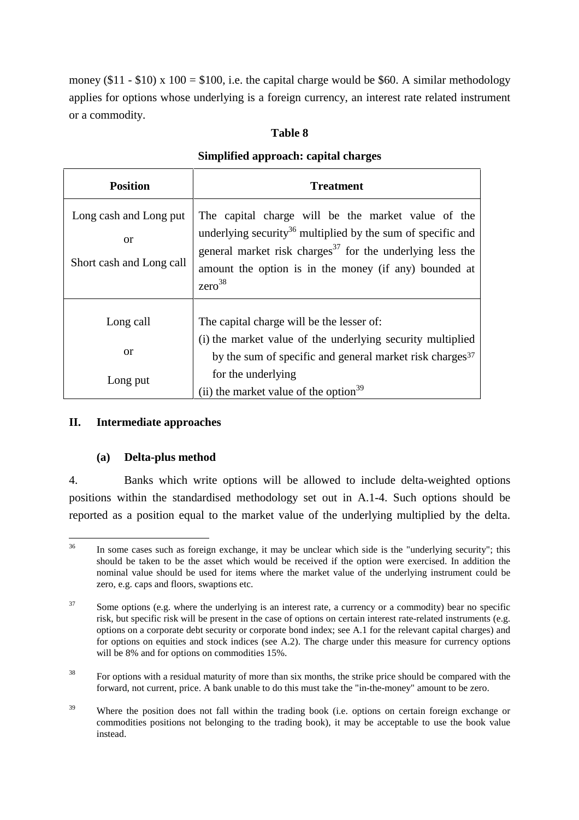money (\$11 - \$10) x 100 = \$100, i.e. the capital charge would be \$60. A similar methodology applies for options whose underlying is a foreign currency, an interest rate related instrument or a commodity.

### **Table 8**

| <b>Position</b>                                                     | <b>Treatment</b>                                                                                                                                                                                                                                                               |
|---------------------------------------------------------------------|--------------------------------------------------------------------------------------------------------------------------------------------------------------------------------------------------------------------------------------------------------------------------------|
| Long cash and Long put<br><sub>or</sub><br>Short cash and Long call | The capital charge will be the market value of the<br>underlying security <sup>36</sup> multiplied by the sum of specific and<br>general market risk charges <sup>37</sup> for the underlying less the<br>amount the option is in the money (if any) bounded at<br>$zero^{38}$ |
| Long call<br><b>or</b>                                              | The capital charge will be the lesser of:<br>(i) the market value of the underlying security multiplied                                                                                                                                                                        |
| Long put                                                            | by the sum of specific and general market risk charges <sup>37</sup><br>for the underlying<br>(ii) the market value of the option <sup>39</sup>                                                                                                                                |

## **Simplified approach: capital charges**

## **II. Intermediate approaches**

## **(a) Delta-plus method**

4. Banks which write options will be allowed to include delta-weighted options positions within the standardised methodology set out in A.1-4. Such options should be reported as a position equal to the market value of the underlying multiplied by the delta.

<sup>38</sup> For options with a residual maturity of more than six months, the strike price should be compared with the forward, not current, price. A bank unable to do this must take the "in-the-money" amount to be zero.

<sup>36</sup> In some cases such as foreign exchange, it may be unclear which side is the "underlying security"; this should be taken to be the asset which would be received if the option were exercised. In addition the nominal value should be used for items where the market value of the underlying instrument could be zero, e.g. caps and floors, swaptions etc.

<sup>&</sup>lt;sup>37</sup> Some options (e.g. where the underlying is an interest rate, a currency or a commodity) bear no specific risk, but specific risk will be present in the case of options on certain interest rate-related instruments (e.g. options on a corporate debt security or corporate bond index; see A.1 for the relevant capital charges) and for options on equities and stock indices (see A.2). The charge under this measure for currency options will be 8% and for options on commodities 15%.

<sup>&</sup>lt;sup>39</sup> Where the position does not fall within the trading book (i.e. options on certain foreign exchange or commodities positions not belonging to the trading book), it may be acceptable to use the book value instead.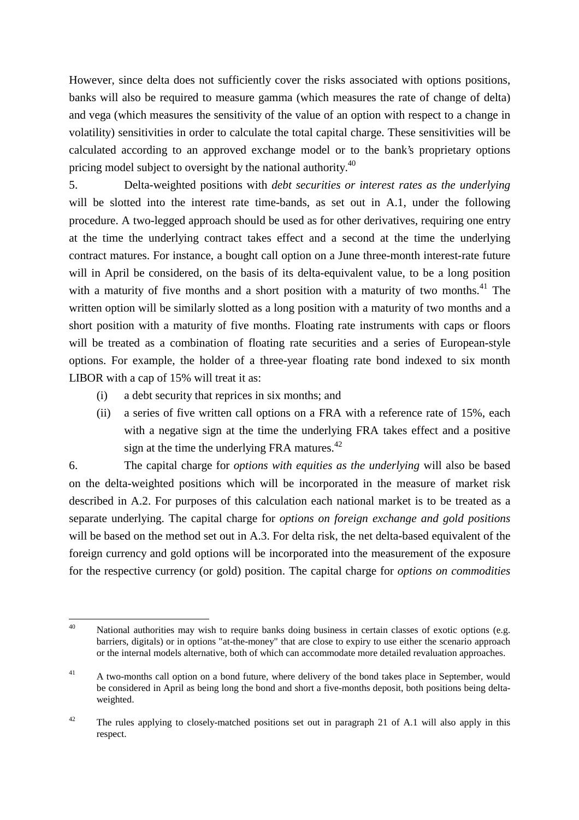However, since delta does not sufficiently cover the risks associated with options positions, banks will also be required to measure gamma (which measures the rate of change of delta) and vega (which measures the sensitivity of the value of an option with respect to a change in volatility) sensitivities in order to calculate the total capital charge. These sensitivities will be calculated according to an approved exchange model or to the bank's proprietary options pricing model subject to oversight by the national authority.<sup>40</sup>

5. Delta-weighted positions with *debt securities or interest rates as the underlying* will be slotted into the interest rate time-bands, as set out in A.1, under the following procedure. A two-legged approach should be used as for other derivatives, requiring one entry at the time the underlying contract takes effect and a second at the time the underlying contract matures. For instance, a bought call option on a June three-month interest-rate future will in April be considered, on the basis of its delta-equivalent value, to be a long position with a maturity of five months and a short position with a maturity of two months. $^{41}$  The written option will be similarly slotted as a long position with a maturity of two months and a short position with a maturity of five months. Floating rate instruments with caps or floors will be treated as a combination of floating rate securities and a series of European-style options. For example, the holder of a three-year floating rate bond indexed to six month LIBOR with a cap of 15% will treat it as:

- (i) a debt security that reprices in six months; and
- (ii) a series of five written call options on a FRA with a reference rate of 15%, each with a negative sign at the time the underlying FRA takes effect and a positive sign at the time the underlying FRA matures. $42$

6. The capital charge for *options with equities as the underlying* will also be based on the delta-weighted positions which will be incorporated in the measure of market risk described in A.2. For purposes of this calculation each national market is to be treated as a separate underlying. The capital charge for *options on foreign exchange and gold positions* will be based on the method set out in A.3. For delta risk, the net delta-based equivalent of the foreign currency and gold options will be incorporated into the measurement of the exposure for the respective currency (or gold) position. The capital charge for *options on commodities*

 $40$ National authorities may wish to require banks doing business in certain classes of exotic options (e.g. barriers, digitals) or in options "at-the-money" that are close to expiry to use either the scenario approach or the internal models alternative, both of which can accommodate more detailed revaluation approaches.

<sup>&</sup>lt;sup>41</sup> A two-months call option on a bond future, where delivery of the bond takes place in September, would be considered in April as being long the bond and short a five-months deposit, both positions being deltaweighted.

<sup>&</sup>lt;sup>42</sup> The rules applying to closely-matched positions set out in paragraph 21 of A.1 will also apply in this respect.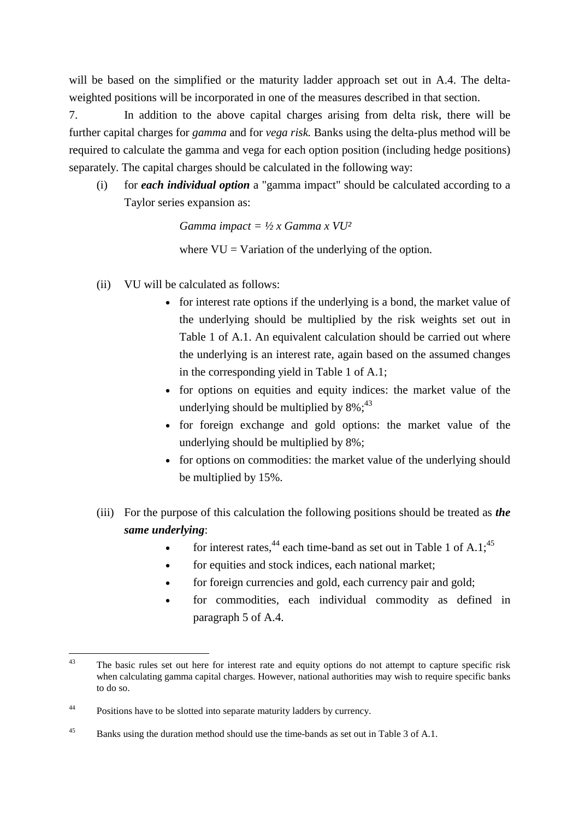will be based on the simplified or the maturity ladder approach set out in A.4. The deltaweighted positions will be incorporated in one of the measures described in that section.

7. In addition to the above capital charges arising from delta risk, there will be further capital charges for *gamma* and for *vega risk.* Banks using the delta-plus method will be required to calculate the gamma and vega for each option position (including hedge positions) separately. The capital charges should be calculated in the following way:

(i) for *each individual option* a "gamma impact" should be calculated according to a Taylor series expansion as:

*Gamma impact = ½ x Gamma x VU²*

where  $VU = Variation$  of the underlying of the option.

- (ii) VU will be calculated as follows:
	- for interest rate options if the underlying is a bond, the market value of the underlying should be multiplied by the risk weights set out in Table 1 of A.1. An equivalent calculation should be carried out where the underlying is an interest rate, again based on the assumed changes in the corresponding yield in Table 1 of A.1;
	- for options on equities and equity indices: the market value of the underlying should be multiplied by  $8\%$ ;<sup>43</sup>
	- for foreign exchange and gold options: the market value of the underlying should be multiplied by 8%;
	- for options on commodities: the market value of the underlying should be multiplied by 15%.
- (iii) For the purpose of this calculation the following positions should be treated as *the same underlying*:
	- for interest rates,<sup>44</sup> each time-band as set out in Table 1 of A.1;<sup>45</sup>
	- for equities and stock indices, each national market;
	- for foreign currencies and gold, each currency pair and gold;
	- for commodities, each individual commodity as defined in paragraph 5 of A.4.

 $43$ The basic rules set out here for interest rate and equity options do not attempt to capture specific risk when calculating gamma capital charges. However, national authorities may wish to require specific banks to do so.

<sup>&</sup>lt;sup>44</sup> Positions have to be slotted into separate maturity ladders by currency.

<sup>&</sup>lt;sup>45</sup> Banks using the duration method should use the time-bands as set out in Table 3 of A.1.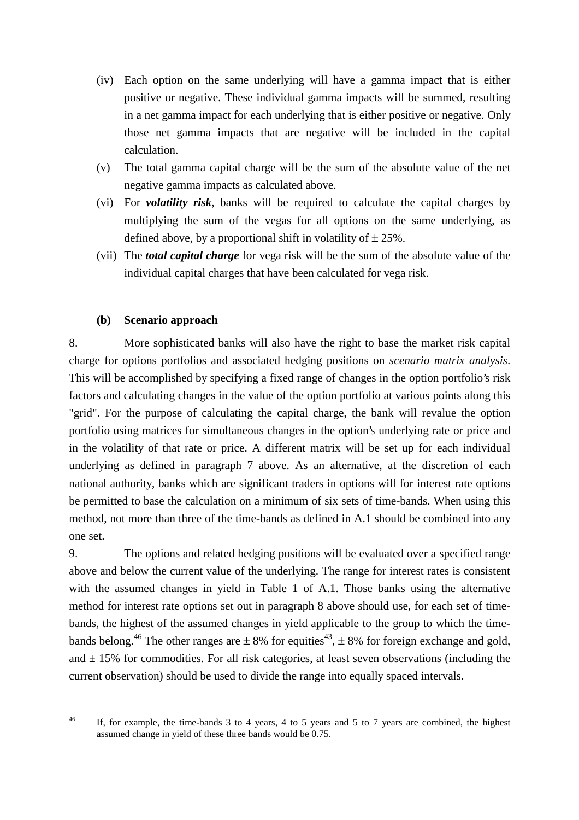- (iv) Each option on the same underlying will have a gamma impact that is either positive or negative. These individual gamma impacts will be summed, resulting in a net gamma impact for each underlying that is either positive or negative. Only those net gamma impacts that are negative will be included in the capital calculation.
- (v) The total gamma capital charge will be the sum of the absolute value of the net negative gamma impacts as calculated above.
- (vi) For *volatility risk*, banks will be required to calculate the capital charges by multiplying the sum of the vegas for all options on the same underlying, as defined above, by a proportional shift in volatility of  $\pm 25\%$ .
- (vii) The *total capital charge* for vega risk will be the sum of the absolute value of the individual capital charges that have been calculated for vega risk.

#### **(b) Scenario approach**

8. More sophisticated banks will also have the right to base the market risk capital charge for options portfolios and associated hedging positions on *scenario matrix analysis*. This will be accomplished by specifying a fixed range of changes in the option portfolio's risk factors and calculating changes in the value of the option portfolio at various points along this "grid". For the purpose of calculating the capital charge, the bank will revalue the option portfolio using matrices for simultaneous changes in the option's underlying rate or price and in the volatility of that rate or price. A different matrix will be set up for each individual underlying as defined in paragraph 7 above. As an alternative, at the discretion of each national authority, banks which are significant traders in options will for interest rate options be permitted to base the calculation on a minimum of six sets of time-bands. When using this method, not more than three of the time-bands as defined in A.1 should be combined into any one set.

9. The options and related hedging positions will be evaluated over a specified range above and below the current value of the underlying. The range for interest rates is consistent with the assumed changes in yield in Table 1 of A.1. Those banks using the alternative method for interest rate options set out in paragraph 8 above should use, for each set of timebands, the highest of the assumed changes in yield applicable to the group to which the timebands belong.<sup>46</sup> The other ranges are  $\pm 8\%$  for equities<sup>43</sup>,  $\pm 8\%$  for foreign exchange and gold, and  $\pm$  15% for commodities. For all risk categories, at least seven observations (including the current observation) should be used to divide the range into equally spaced intervals.

 $46$ If, for example, the time-bands  $3$  to  $4$  years,  $4$  to  $5$  years and  $5$  to  $7$  years are combined, the highest assumed change in yield of these three bands would be 0.75.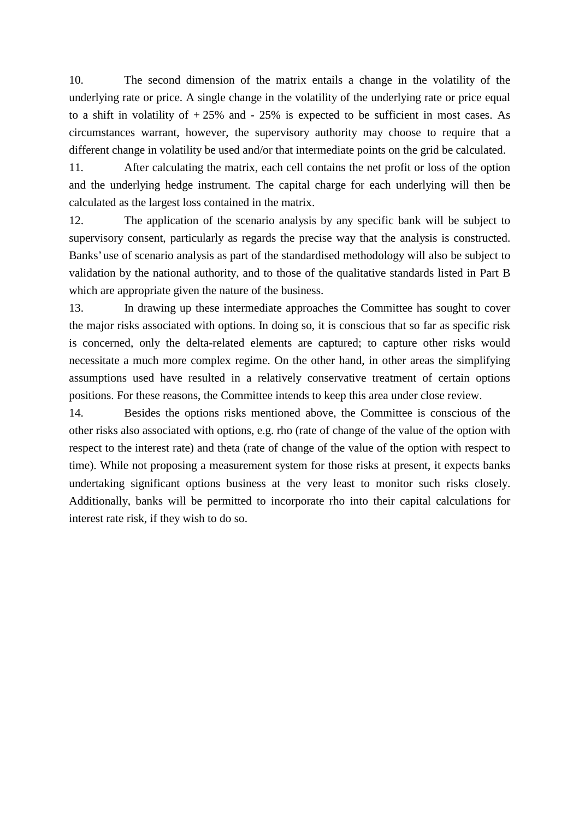10. The second dimension of the matrix entails a change in the volatility of the underlying rate or price. A single change in the volatility of the underlying rate or price equal to a shift in volatility of  $+25\%$  and  $-25\%$  is expected to be sufficient in most cases. As circumstances warrant, however, the supervisory authority may choose to require that a different change in volatility be used and/or that intermediate points on the grid be calculated.

11. After calculating the matrix, each cell contains the net profit or loss of the option and the underlying hedge instrument. The capital charge for each underlying will then be calculated as the largest loss contained in the matrix.

12. The application of the scenario analysis by any specific bank will be subject to supervisory consent, particularly as regards the precise way that the analysis is constructed. Banks' use of scenario analysis as part of the standardised methodology will also be subject to validation by the national authority, and to those of the qualitative standards listed in Part B which are appropriate given the nature of the business.

13. In drawing up these intermediate approaches the Committee has sought to cover the major risks associated with options. In doing so, it is conscious that so far as specific risk is concerned, only the delta-related elements are captured; to capture other risks would necessitate a much more complex regime. On the other hand, in other areas the simplifying assumptions used have resulted in a relatively conservative treatment of certain options positions. For these reasons, the Committee intends to keep this area under close review.

14. Besides the options risks mentioned above, the Committee is conscious of the other risks also associated with options, e.g. rho (rate of change of the value of the option with respect to the interest rate) and theta (rate of change of the value of the option with respect to time). While not proposing a measurement system for those risks at present, it expects banks undertaking significant options business at the very least to monitor such risks closely. Additionally, banks will be permitted to incorporate rho into their capital calculations for interest rate risk, if they wish to do so.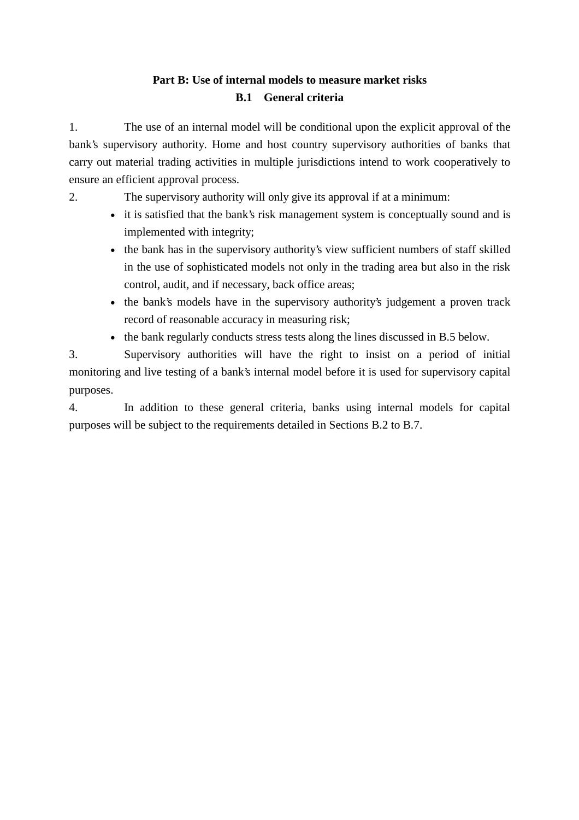# **Part B: Use of internal models to measure market risks B.1 General criteria**

1. The use of an internal model will be conditional upon the explicit approval of the bank's supervisory authority. Home and host country supervisory authorities of banks that carry out material trading activities in multiple jurisdictions intend to work cooperatively to ensure an efficient approval process.

2. The supervisory authority will only give its approval if at a minimum:

- it is satisfied that the bank's risk management system is conceptually sound and is implemented with integrity;
- the bank has in the supervisory authority's view sufficient numbers of staff skilled in the use of sophisticated models not only in the trading area but also in the risk control, audit, and if necessary, back office areas;
- the bank's models have in the supervisory authority's judgement a proven track record of reasonable accuracy in measuring risk;
- the bank regularly conducts stress tests along the lines discussed in B.5 below.

3. Supervisory authorities will have the right to insist on a period of initial monitoring and live testing of a bank's internal model before it is used for supervisory capital purposes.

4. In addition to these general criteria, banks using internal models for capital purposes will be subject to the requirements detailed in Sections B.2 to B.7.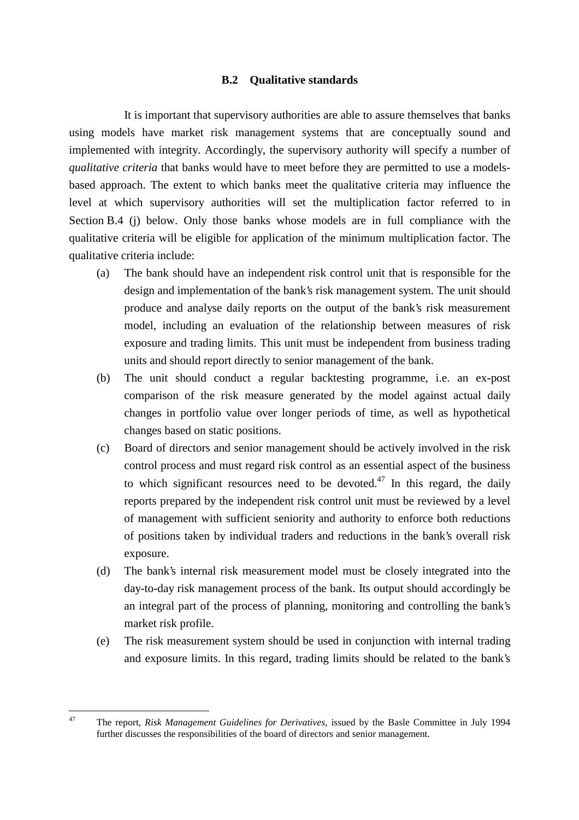#### **B.2 Qualitative standards**

It is important that supervisory authorities are able to assure themselves that banks using models have market risk management systems that are conceptually sound and implemented with integrity. Accordingly, the supervisory authority will specify a number of *qualitative criteria* that banks would have to meet before they are permitted to use a modelsbased approach. The extent to which banks meet the qualitative criteria may influence the level at which supervisory authorities will set the multiplication factor referred to in Section B.4 (j) below. Only those banks whose models are in full compliance with the qualitative criteria will be eligible for application of the minimum multiplication factor. The qualitative criteria include:

- (a) The bank should have an independent risk control unit that is responsible for the design and implementation of the bank's risk management system. The unit should produce and analyse daily reports on the output of the bank's risk measurement model, including an evaluation of the relationship between measures of risk exposure and trading limits. This unit must be independent from business trading units and should report directly to senior management of the bank.
- (b) The unit should conduct a regular backtesting programme, i.e. an ex-post comparison of the risk measure generated by the model against actual daily changes in portfolio value over longer periods of time, as well as hypothetical changes based on static positions.
- (c) Board of directors and senior management should be actively involved in the risk control process and must regard risk control as an essential aspect of the business to which significant resources need to be devoted.<sup>47</sup> In this regard, the daily reports prepared by the independent risk control unit must be reviewed by a level of management with sufficient seniority and authority to enforce both reductions of positions taken by individual traders and reductions in the bank's overall risk exposure.
- (d) The bank's internal risk measurement model must be closely integrated into the day-to-day risk management process of the bank. Its output should accordingly be an integral part of the process of planning, monitoring and controlling the bank's market risk profile.
- (e) The risk measurement system should be used in conjunction with internal trading and exposure limits. In this regard, trading limits should be related to the bank's

<sup>47</sup> <sup>47</sup> The report, *Risk Management Guidelines for Derivatives,* issued by the Basle Committee in July 1994 further discusses the responsibilities of the board of directors and senior management.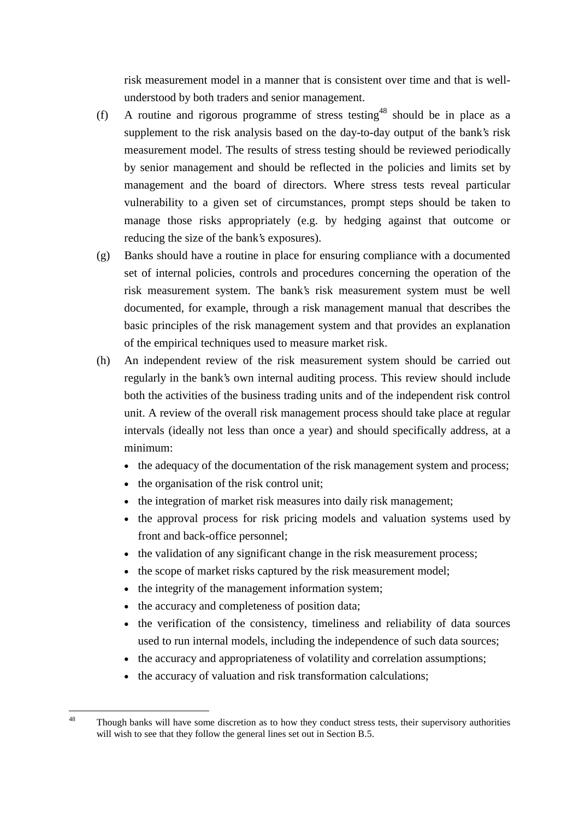risk measurement model in a manner that is consistent over time and that is wellunderstood by both traders and senior management.

- (f) A routine and rigorous programme of stress testing<sup>48</sup> should be in place as a supplement to the risk analysis based on the day-to-day output of the bank's risk measurement model. The results of stress testing should be reviewed periodically by senior management and should be reflected in the policies and limits set by management and the board of directors. Where stress tests reveal particular vulnerability to a given set of circumstances, prompt steps should be taken to manage those risks appropriately (e.g. by hedging against that outcome or reducing the size of the bank's exposures).
- (g) Banks should have a routine in place for ensuring compliance with a documented set of internal policies, controls and procedures concerning the operation of the risk measurement system. The bank's risk measurement system must be well documented, for example, through a risk management manual that describes the basic principles of the risk management system and that provides an explanation of the empirical techniques used to measure market risk.
- (h) An independent review of the risk measurement system should be carried out regularly in the bank's own internal auditing process. This review should include both the activities of the business trading units and of the independent risk control unit. A review of the overall risk management process should take place at regular intervals (ideally not less than once a year) and should specifically address, at a minimum:
	- the adequacy of the documentation of the risk management system and process;
	- the organisation of the risk control unit;
	- the integration of market risk measures into daily risk management;
	- the approval process for risk pricing models and valuation systems used by front and back-office personnel;
	- the validation of any significant change in the risk measurement process;
	- the scope of market risks captured by the risk measurement model;
	- the integrity of the management information system;
	- the accuracy and completeness of position data;
	- the verification of the consistency, timeliness and reliability of data sources used to run internal models, including the independence of such data sources;
	- the accuracy and appropriateness of volatility and correlation assumptions;
	- the accuracy of valuation and risk transformation calculations;

<sup>48</sup> Though banks will have some discretion as to how they conduct stress tests, their supervisory authorities will wish to see that they follow the general lines set out in Section B.5.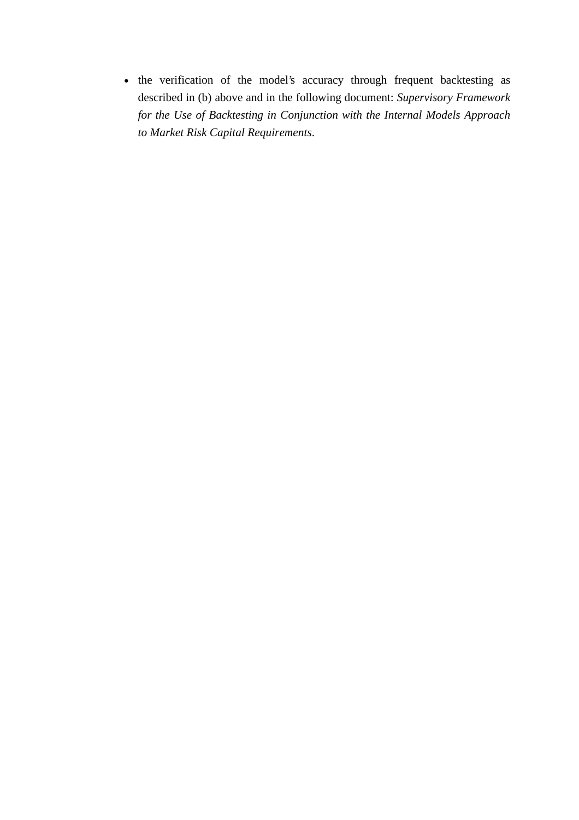• the verification of the model's accuracy through frequent backtesting as described in (b) above and in the following document: *Supervisory Framework for the Use of Backtesting in Conjunction with the Internal Models Approach to Market Risk Capital Requirements*.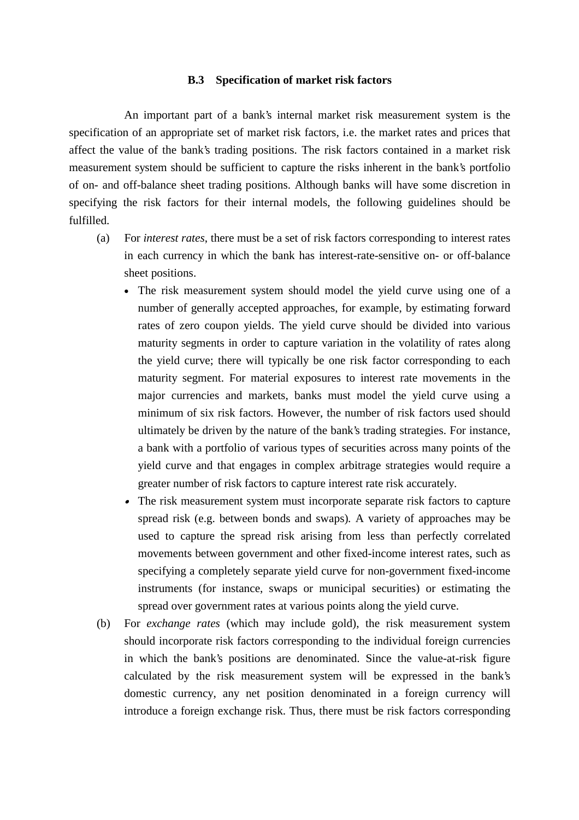#### **B.3 Specification of market risk factors**

An important part of a bank's internal market risk measurement system is the specification of an appropriate set of market risk factors, i.e. the market rates and prices that affect the value of the bank's trading positions. The risk factors contained in a market risk measurement system should be sufficient to capture the risks inherent in the bank's portfolio of on- and off-balance sheet trading positions. Although banks will have some discretion in specifying the risk factors for their internal models, the following guidelines should be fulfilled.

- (a) For *interest rates*, there must be a set of risk factors corresponding to interest rates in each currency in which the bank has interest-rate-sensitive on- or off-balance sheet positions.
	- The risk measurement system should model the yield curve using one of a number of generally accepted approaches, for example, by estimating forward rates of zero coupon yields. The yield curve should be divided into various maturity segments in order to capture variation in the volatility of rates along the yield curve; there will typically be one risk factor corresponding to each maturity segment. For material exposures to interest rate movements in the major currencies and markets, banks must model the yield curve using a minimum of six risk factors*.* However, the number of risk factors used should ultimately be driven by the nature of the bank's trading strategies. For instance, a bank with a portfolio of various types of securities across many points of the yield curve and that engages in complex arbitrage strategies would require a greater number of risk factors to capture interest rate risk accurately.
	- The risk measurement system must incorporate separate risk factors to capture spread risk (e.g. between bonds and swaps)*.* A variety of approaches may be used to capture the spread risk arising from less than perfectly correlated movements between government and other fixed-income interest rates, such as specifying a completely separate yield curve for non-government fixed-income instruments (for instance, swaps or municipal securities) or estimating the spread over government rates at various points along the yield curve.
- (b) For *exchange rates* (which may include gold), the risk measurement system should incorporate risk factors corresponding to the individual foreign currencies in which the bank's positions are denominated. Since the value-at-risk figure calculated by the risk measurement system will be expressed in the bank's domestic currency, any net position denominated in a foreign currency will introduce a foreign exchange risk. Thus, there must be risk factors corresponding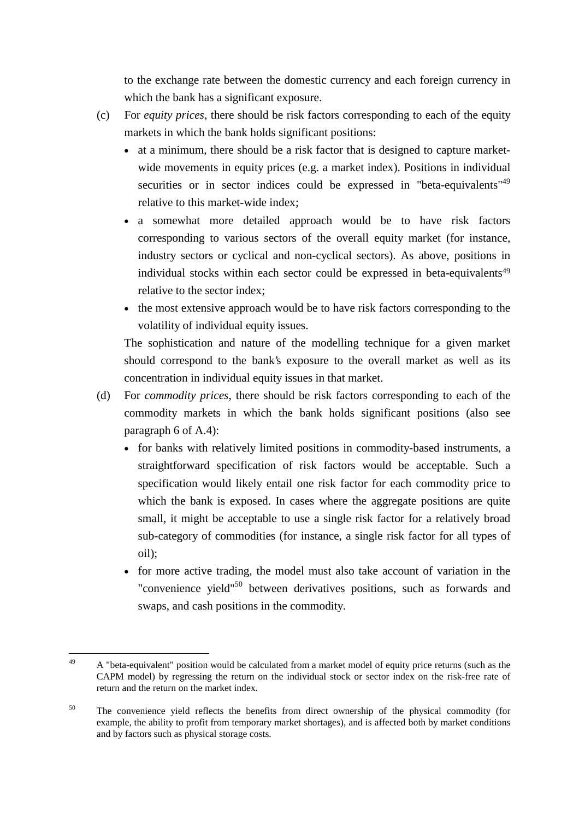to the exchange rate between the domestic currency and each foreign currency in which the bank has a significant exposure.

- (c) For *equity prices*, there should be risk factors corresponding to each of the equity markets in which the bank holds significant positions:
	- at a minimum, there should be a risk factor that is designed to capture marketwide movements in equity prices (e.g. a market index). Positions in individual securities or in sector indices could be expressed in "beta-equivalents"<sup>49</sup> relative to this market-wide index;
	- a somewhat more detailed approach would be to have risk factors corresponding to various sectors of the overall equity market (for instance, industry sectors or cyclical and non-cyclical sectors). As above, positions in individual stocks within each sector could be expressed in beta-equivalents<sup>49</sup> relative to the sector index;
	- the most extensive approach would be to have risk factors corresponding to the volatility of individual equity issues.

The sophistication and nature of the modelling technique for a given market should correspond to the bank's exposure to the overall market as well as its concentration in individual equity issues in that market.

- (d) For *commodity prices*, there should be risk factors corresponding to each of the commodity markets in which the bank holds significant positions (also see paragraph 6 of A.4):
	- for banks with relatively limited positions in commodity-based instruments, a straightforward specification of risk factors would be acceptable. Such a specification would likely entail one risk factor for each commodity price to which the bank is exposed. In cases where the aggregate positions are quite small, it might be acceptable to use a single risk factor for a relatively broad sub-category of commodities (for instance, a single risk factor for all types of oil);
	- for more active trading, the model must also take account of variation in the "convenience vield"<sup>50</sup> between derivatives positions, such as forwards and swaps, and cash positions in the commodity.

 $\overline{49}$ A "beta-equivalent" position would be calculated from a market model of equity price returns (such as the CAPM model) by regressing the return on the individual stock or sector index on the risk-free rate of return and the return on the market index.

<sup>&</sup>lt;sup>50</sup> The convenience yield reflects the benefits from direct ownership of the physical commodity (for example, the ability to profit from temporary market shortages), and is affected both by market conditions and by factors such as physical storage costs.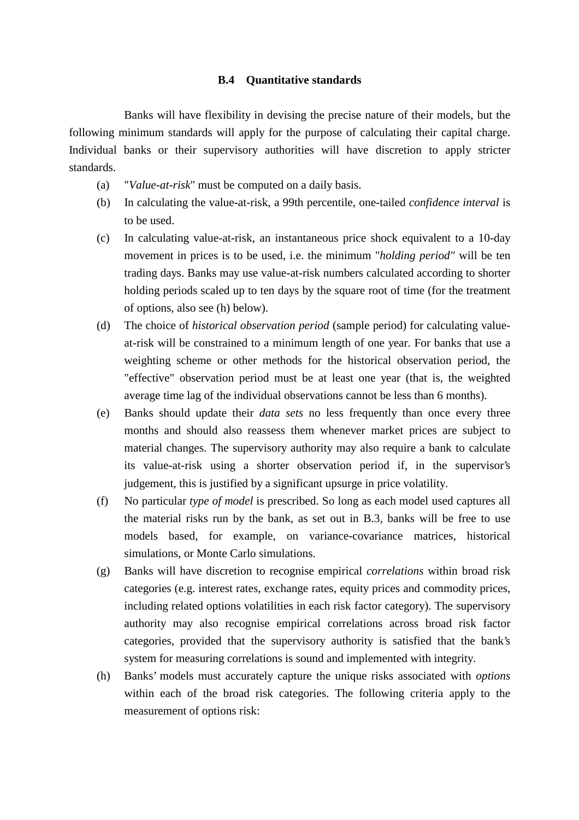#### **B.4 Quantitative standards**

Banks will have flexibility in devising the precise nature of their models, but the following minimum standards will apply for the purpose of calculating their capital charge. Individual banks or their supervisory authorities will have discretion to apply stricter standards.

- (a) "*Value-at-risk*" must be computed on a daily basis.
- (b) In calculating the value-at-risk, a 99th percentile, one-tailed *confidence interval* is to be used.
- (c) In calculating value-at-risk, an instantaneous price shock equivalent to a 10-day movement in prices is to be used, i.e. the minimum "*holding period"* will be ten trading days. Banks may use value-at-risk numbers calculated according to shorter holding periods scaled up to ten days by the square root of time (for the treatment of options, also see (h) below).
- (d) The choice of *historical observation period* (sample period) for calculating valueat-risk will be constrained to a minimum length of one year. For banks that use a weighting scheme or other methods for the historical observation period, the "effective" observation period must be at least one year (that is, the weighted average time lag of the individual observations cannot be less than 6 months).
- (e) Banks should update their *data sets* no less frequently than once every three months and should also reassess them whenever market prices are subject to material changes. The supervisory authority may also require a bank to calculate its value-at-risk using a shorter observation period if, in the supervisor's judgement, this is justified by a significant upsurge in price volatility.
- (f) No particular *type of model* is prescribed. So long as each model used captures all the material risks run by the bank, as set out in B.3, banks will be free to use models based, for example, on variance-covariance matrices, historical simulations, or Monte Carlo simulations.
- (g) Banks will have discretion to recognise empirical *correlations* within broad risk categories (e.g. interest rates, exchange rates, equity prices and commodity prices, including related options volatilities in each risk factor category). The supervisory authority may also recognise empirical correlations across broad risk factor categories, provided that the supervisory authority is satisfied that the bank's system for measuring correlations is sound and implemented with integrity.
- (h) Banks' models must accurately capture the unique risks associated with *options* within each of the broad risk categories. The following criteria apply to the measurement of options risk: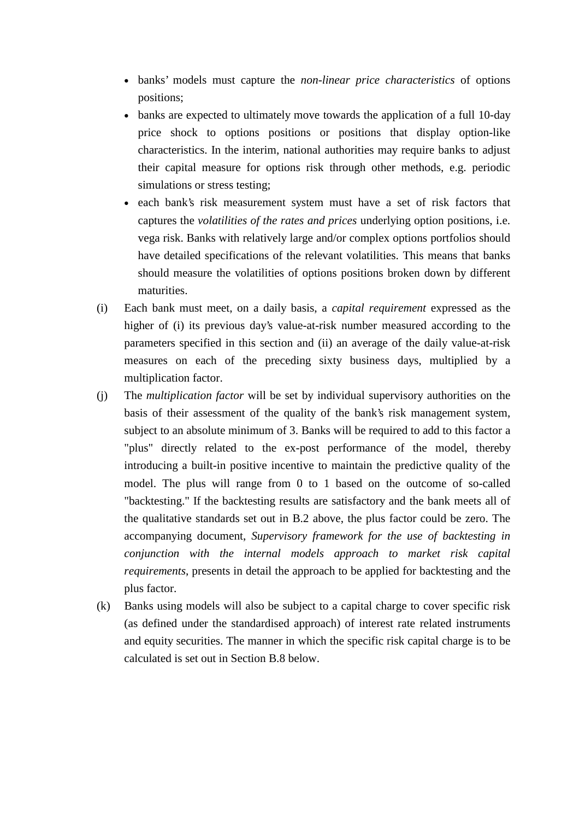- banks' models must capture the *non-linear price characteristics* of options positions;
- banks are expected to ultimately move towards the application of a full 10-day price shock to options positions or positions that display option-like characteristics. In the interim, national authorities may require banks to adjust their capital measure for options risk through other methods, e.g. periodic simulations or stress testing;
- each bank's risk measurement system must have a set of risk factors that captures the *volatilities of the rates and prices* underlying option positions, i.e. vega risk. Banks with relatively large and/or complex options portfolios should have detailed specifications of the relevant volatilities. This means that banks should measure the volatilities of options positions broken down by different maturities.
- (i) Each bank must meet, on a daily basis, a *capital requirement* expressed as the higher of (i) its previous day's value-at-risk number measured according to the parameters specified in this section and (ii) an average of the daily value-at-risk measures on each of the preceding sixty business days, multiplied by a multiplication factor.
- (j) The *multiplication factor* will be set by individual supervisory authorities on the basis of their assessment of the quality of the bank's risk management system, subject to an absolute minimum of 3. Banks will be required to add to this factor a "plus" directly related to the ex-post performance of the model, thereby introducing a built-in positive incentive to maintain the predictive quality of the model. The plus will range from 0 to 1 based on the outcome of so-called "backtesting." If the backtesting results are satisfactory and the bank meets all of the qualitative standards set out in B.2 above, the plus factor could be zero. The accompanying document, *Supervisory framework for the use of backtesting in conjunction with the internal models approach to market risk capital requirements*, presents in detail the approach to be applied for backtesting and the plus factor.
- (k) Banks using models will also be subject to a capital charge to cover specific risk (as defined under the standardised approach) of interest rate related instruments and equity securities. The manner in which the specific risk capital charge is to be calculated is set out in Section B.8 below.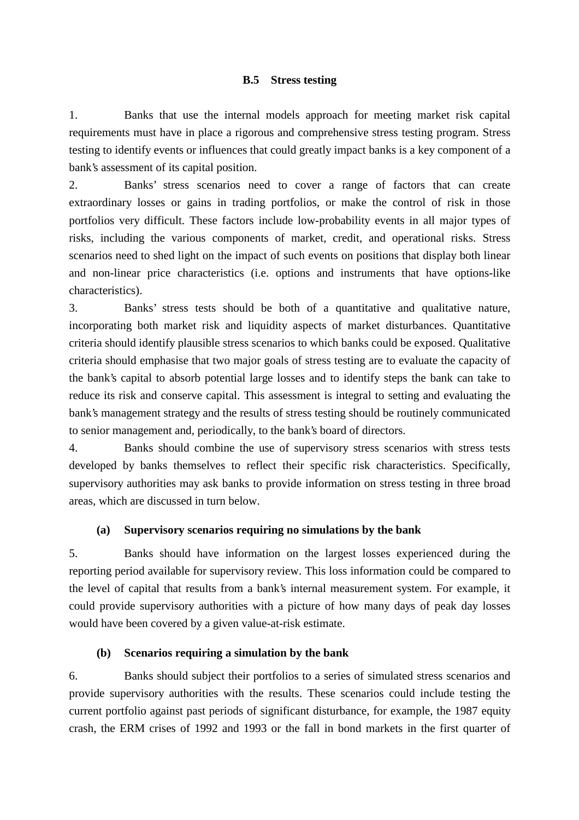#### **B.5 Stress testing**

1. Banks that use the internal models approach for meeting market risk capital requirements must have in place a rigorous and comprehensive stress testing program. Stress testing to identify events or influences that could greatly impact banks is a key component of a bank's assessment of its capital position.

2. Banks' stress scenarios need to cover a range of factors that can create extraordinary losses or gains in trading portfolios, or make the control of risk in those portfolios very difficult. These factors include low-probability events in all major types of risks, including the various components of market, credit, and operational risks. Stress scenarios need to shed light on the impact of such events on positions that display both linear and non-linear price characteristics (i.e. options and instruments that have options-like characteristics).

3. Banks' stress tests should be both of a quantitative and qualitative nature, incorporating both market risk and liquidity aspects of market disturbances. Quantitative criteria should identify plausible stress scenarios to which banks could be exposed. Qualitative criteria should emphasise that two major goals of stress testing are to evaluate the capacity of the bank's capital to absorb potential large losses and to identify steps the bank can take to reduce its risk and conserve capital. This assessment is integral to setting and evaluating the bank's management strategy and the results of stress testing should be routinely communicated to senior management and, periodically, to the bank's board of directors.

4. Banks should combine the use of supervisory stress scenarios with stress tests developed by banks themselves to reflect their specific risk characteristics. Specifically, supervisory authorities may ask banks to provide information on stress testing in three broad areas, which are discussed in turn below.

### **(a) Supervisory scenarios requiring no simulations by the bank**

5. Banks should have information on the largest losses experienced during the reporting period available for supervisory review. This loss information could be compared to the level of capital that results from a bank's internal measurement system. For example, it could provide supervisory authorities with a picture of how many days of peak day losses would have been covered by a given value-at-risk estimate.

#### **(b) Scenarios requiring a simulation by the bank**

6. Banks should subject their portfolios to a series of simulated stress scenarios and provide supervisory authorities with the results. These scenarios could include testing the current portfolio against past periods of significant disturbance, for example, the 1987 equity crash, the ERM crises of 1992 and 1993 or the fall in bond markets in the first quarter of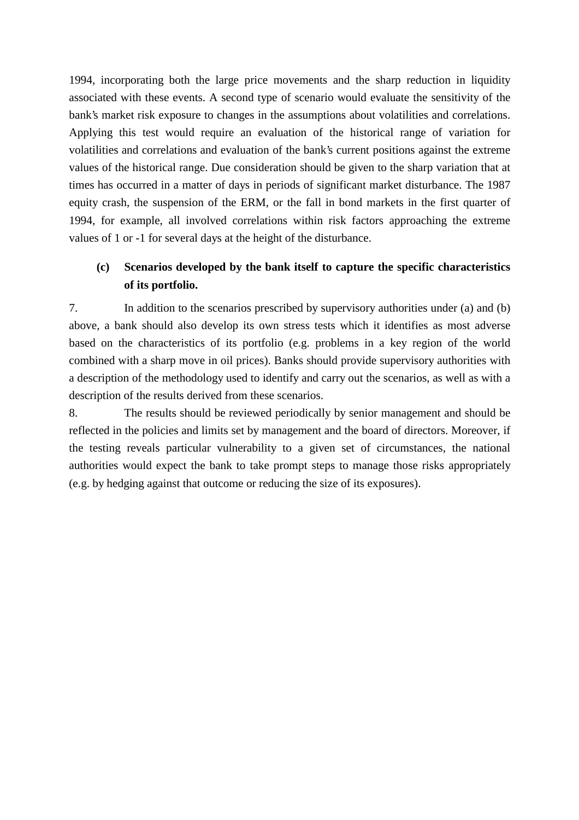1994, incorporating both the large price movements and the sharp reduction in liquidity associated with these events. A second type of scenario would evaluate the sensitivity of the bank's market risk exposure to changes in the assumptions about volatilities and correlations. Applying this test would require an evaluation of the historical range of variation for volatilities and correlations and evaluation of the bank's current positions against the extreme values of the historical range. Due consideration should be given to the sharp variation that at times has occurred in a matter of days in periods of significant market disturbance. The 1987 equity crash, the suspension of the ERM, or the fall in bond markets in the first quarter of 1994, for example, all involved correlations within risk factors approaching the extreme values of 1 or -1 for several days at the height of the disturbance.

# **(c) Scenarios developed by the bank itself to capture the specific characteristics of its portfolio.**

7. In addition to the scenarios prescribed by supervisory authorities under (a) and (b) above, a bank should also develop its own stress tests which it identifies as most adverse based on the characteristics of its portfolio (e.g. problems in a key region of the world combined with a sharp move in oil prices). Banks should provide supervisory authorities with a description of the methodology used to identify and carry out the scenarios, as well as with a description of the results derived from these scenarios.

8. The results should be reviewed periodically by senior management and should be reflected in the policies and limits set by management and the board of directors. Moreover, if the testing reveals particular vulnerability to a given set of circumstances, the national authorities would expect the bank to take prompt steps to manage those risks appropriately (e.g. by hedging against that outcome or reducing the size of its exposures).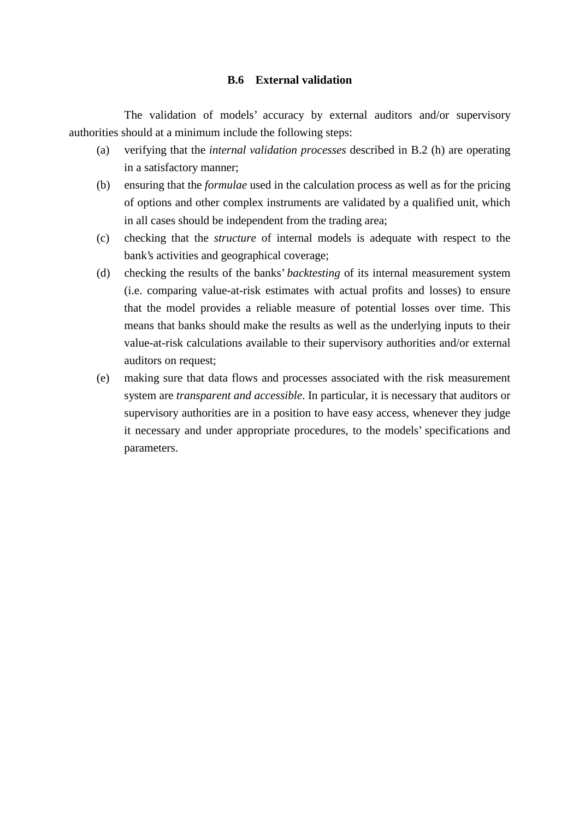#### **B.6 External validation**

The validation of models' accuracy by external auditors and/or supervisory authorities should at a minimum include the following steps:

- (a) verifying that the *internal validation processes* described in B.2 (h) are operating in a satisfactory manner;
- (b) ensuring that the *formulae* used in the calculation process as well as for the pricing of options and other complex instruments are validated by a qualified unit, which in all cases should be independent from the trading area;
- (c) checking that the *structure* of internal models is adequate with respect to the bank's activities and geographical coverage;
- (d) checking the results of the banks' *backtesting* of its internal measurement system (i.e. comparing value-at-risk estimates with actual profits and losses) to ensure that the model provides a reliable measure of potential losses over time. This means that banks should make the results as well as the underlying inputs to their value-at-risk calculations available to their supervisory authorities and/or external auditors on request;
- (e) making sure that data flows and processes associated with the risk measurement system are *transparent and accessible*. In particular, it is necessary that auditors or supervisory authorities are in a position to have easy access, whenever they judge it necessary and under appropriate procedures, to the models' specifications and parameters.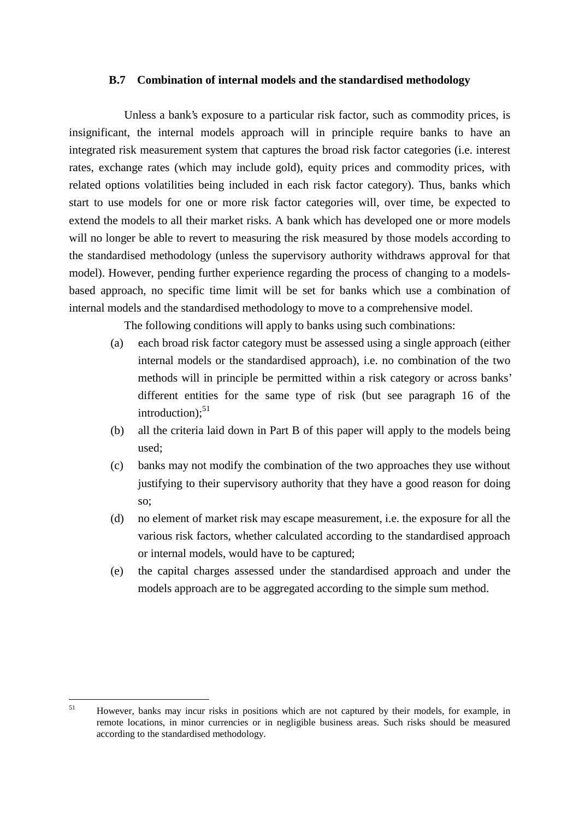#### **B.7 Combination of internal models and the standardised methodology**

Unless a bank's exposure to a particular risk factor, such as commodity prices, is insignificant, the internal models approach will in principle require banks to have an integrated risk measurement system that captures the broad risk factor categories (i.e. interest rates, exchange rates (which may include gold), equity prices and commodity prices, with related options volatilities being included in each risk factor category). Thus, banks which start to use models for one or more risk factor categories will, over time, be expected to extend the models to all their market risks. A bank which has developed one or more models will no longer be able to revert to measuring the risk measured by those models according to the standardised methodology (unless the supervisory authority withdraws approval for that model). However, pending further experience regarding the process of changing to a modelsbased approach, no specific time limit will be set for banks which use a combination of internal models and the standardised methodology to move to a comprehensive model.

The following conditions will apply to banks using such combinations:

- (a) each broad risk factor category must be assessed using a single approach (either internal models or the standardised approach), i.e. no combination of the two methods will in principle be permitted within a risk category or across banks' different entities for the same type of risk (but see paragraph 16 of the  $introduction$ :<sup>51</sup>
- (b) all the criteria laid down in Part B of this paper will apply to the models being used;
- (c) banks may not modify the combination of the two approaches they use without justifying to their supervisory authority that they have a good reason for doing so;
- (d) no element of market risk may escape measurement, i.e. the exposure for all the various risk factors, whether calculated according to the standardised approach or internal models, would have to be captured;
- (e) the capital charges assessed under the standardised approach and under the models approach are to be aggregated according to the simple sum method.

 $51$ <sup>51</sup> However, banks may incur risks in positions which are not captured by their models, for example, in remote locations, in minor currencies or in negligible business areas. Such risks should be measured according to the standardised methodology.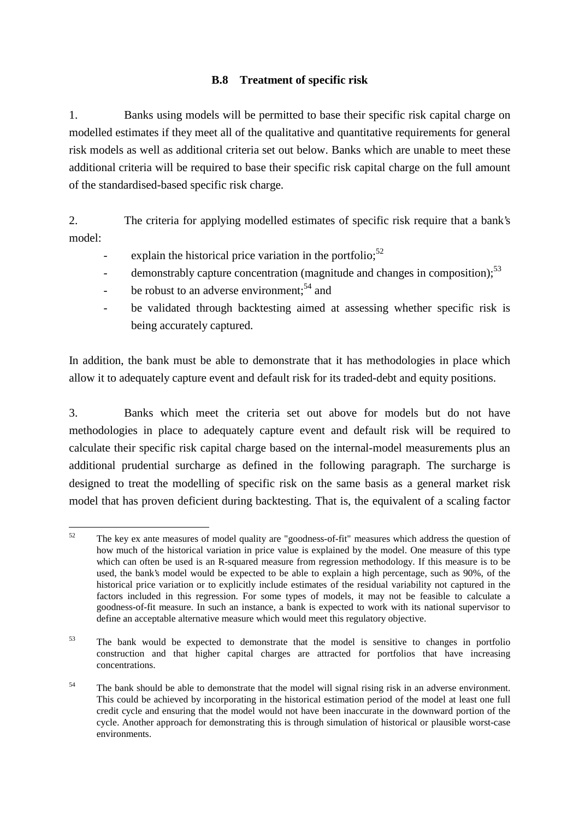### **B.8 Treatment of specific risk**

1. Banks using models will be permitted to base their specific risk capital charge on modelled estimates if they meet all of the qualitative and quantitative requirements for general risk models as well as additional criteria set out below. Banks which are unable to meet these additional criteria will be required to base their specific risk capital charge on the full amount of the standardised-based specific risk charge.

2. The criteria for applying modelled estimates of specific risk require that a bank's model:

- explain the historical price variation in the portfolio; $52$
- demonstrably capture concentration (magnitude and changes in composition); $^{53}$
- be robust to an adverse environment;<sup>54</sup> and
- be validated through backtesting aimed at assessing whether specific risk is being accurately captured.

In addition, the bank must be able to demonstrate that it has methodologies in place which allow it to adequately capture event and default risk for its traded-debt and equity positions.

3. Banks which meet the criteria set out above for models but do not have methodologies in place to adequately capture event and default risk will be required to calculate their specific risk capital charge based on the internal-model measurements plus an additional prudential surcharge as defined in the following paragraph. The surcharge is designed to treat the modelling of specific risk on the same basis as a general market risk model that has proven deficient during backtesting. That is, the equivalent of a scaling factor

 $52$ 52 The key ex ante measures of model quality are "goodness-of-fit" measures which address the question of how much of the historical variation in price value is explained by the model. One measure of this type which can often be used is an R-squared measure from regression methodology. If this measure is to be used, the bank's model would be expected to be able to explain a high percentage, such as 90%, of the historical price variation or to explicitly include estimates of the residual variability not captured in the factors included in this regression. For some types of models, it may not be feasible to calculate a goodness-of-fit measure. In such an instance, a bank is expected to work with its national supervisor to define an acceptable alternative measure which would meet this regulatory objective.

<sup>&</sup>lt;sup>53</sup> The bank would be expected to demonstrate that the model is sensitive to changes in portfolio construction and that higher capital charges are attracted for portfolios that have increasing concentrations.

<sup>&</sup>lt;sup>54</sup> The bank should be able to demonstrate that the model will signal rising risk in an adverse environment. This could be achieved by incorporating in the historical estimation period of the model at least one full credit cycle and ensuring that the model would not have been inaccurate in the downward portion of the cycle. Another approach for demonstrating this is through simulation of historical or plausible worst-case environments.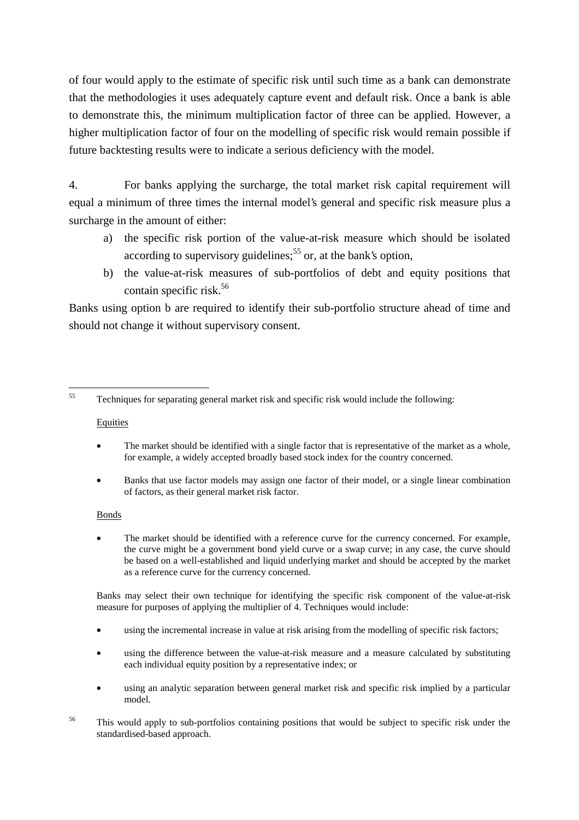of four would apply to the estimate of specific risk until such time as a bank can demonstrate that the methodologies it uses adequately capture event and default risk. Once a bank is able to demonstrate this, the minimum multiplication factor of three can be applied. However, a higher multiplication factor of four on the modelling of specific risk would remain possible if future backtesting results were to indicate a serious deficiency with the model.

4. For banks applying the surcharge, the total market risk capital requirement will equal a minimum of three times the internal model's general and specific risk measure plus a surcharge in the amount of either:

- a) the specific risk portion of the value-at-risk measure which should be isolated according to supervisory guidelines;  $55$  or, at the bank's option,
- b) the value-at-risk measures of sub-portfolios of debt and equity positions that contain specific risk.<sup>56</sup>

Banks using option b are required to identify their sub-portfolio structure ahead of time and should not change it without supervisory consent.

 $55$ Techniques for separating general market risk and specific risk would include the following:

#### Equities

- The market should be identified with a single factor that is representative of the market as a whole, for example, a widely accepted broadly based stock index for the country concerned.
- Banks that use factor models may assign one factor of their model, or a single linear combination of factors, as their general market risk factor.

#### Bonds

• The market should be identified with a reference curve for the currency concerned. For example, the curve might be a government bond yield curve or a swap curve; in any case, the curve should be based on a well-established and liquid underlying market and should be accepted by the market as a reference curve for the currency concerned.

Banks may select their own technique for identifying the specific risk component of the value-at-risk measure for purposes of applying the multiplier of 4. Techniques would include:

- using the incremental increase in value at risk arising from the modelling of specific risk factors;
- using the difference between the value-at-risk measure and a measure calculated by substituting each individual equity position by a representative index; or
- using an analytic separation between general market risk and specific risk implied by a particular model.
- <sup>56</sup> This would apply to sub-portfolios containing positions that would be subject to specific risk under the standardised-based approach.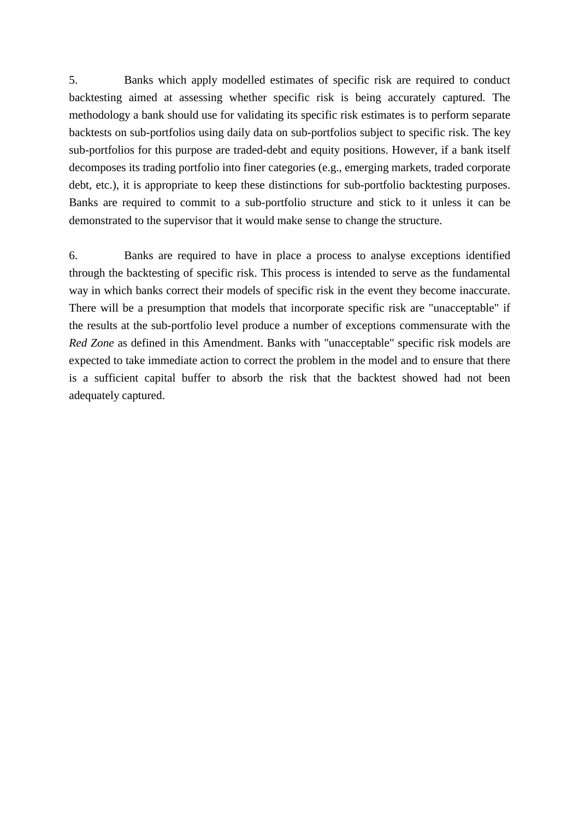5. Banks which apply modelled estimates of specific risk are required to conduct backtesting aimed at assessing whether specific risk is being accurately captured. The methodology a bank should use for validating its specific risk estimates is to perform separate backtests on sub-portfolios using daily data on sub-portfolios subject to specific risk. The key sub-portfolios for this purpose are traded-debt and equity positions. However, if a bank itself decomposes its trading portfolio into finer categories (e.g., emerging markets, traded corporate debt, etc.), it is appropriate to keep these distinctions for sub-portfolio backtesting purposes. Banks are required to commit to a sub-portfolio structure and stick to it unless it can be demonstrated to the supervisor that it would make sense to change the structure.

6. Banks are required to have in place a process to analyse exceptions identified through the backtesting of specific risk. This process is intended to serve as the fundamental way in which banks correct their models of specific risk in the event they become inaccurate. There will be a presumption that models that incorporate specific risk are "unacceptable" if the results at the sub-portfolio level produce a number of exceptions commensurate with the *Red Zone* as defined in this Amendment. Banks with "unacceptable" specific risk models are expected to take immediate action to correct the problem in the model and to ensure that there is a sufficient capital buffer to absorb the risk that the backtest showed had not been adequately captured.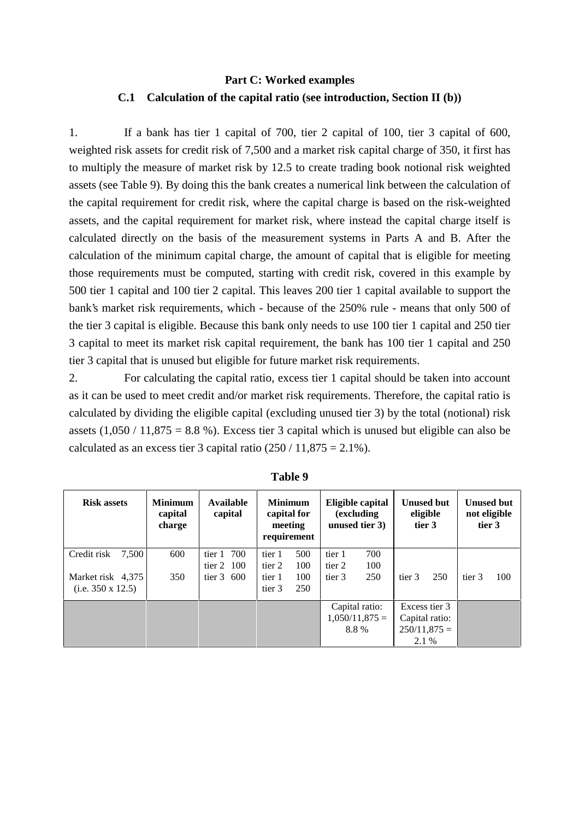# **Part C: Worked examples C.1 Calculation of the capital ratio (see introduction, Section II (b))**

1. If a bank has tier 1 capital of 700, tier 2 capital of 100, tier 3 capital of 600, weighted risk assets for credit risk of 7,500 and a market risk capital charge of 350, it first has to multiply the measure of market risk by 12.5 to create trading book notional risk weighted assets (see Table 9). By doing this the bank creates a numerical link between the calculation of the capital requirement for credit risk, where the capital charge is based on the risk-weighted assets, and the capital requirement for market risk, where instead the capital charge itself is calculated directly on the basis of the measurement systems in Parts A and B. After the calculation of the minimum capital charge, the amount of capital that is eligible for meeting those requirements must be computed, starting with credit risk, covered in this example by 500 tier 1 capital and 100 tier 2 capital. This leaves 200 tier 1 capital available to support the bank's market risk requirements, which - because of the 250% rule - means that only 500 of the tier 3 capital is eligible. Because this bank only needs to use 100 tier 1 capital and 250 tier 3 capital to meet its market risk capital requirement, the bank has 100 tier 1 capital and 250 tier 3 capital that is unused but eligible for future market risk requirements.

2. For calculating the capital ratio, excess tier 1 capital should be taken into account as it can be used to meet credit and/or market risk requirements. Therefore, the capital ratio is calculated by dividing the eligible capital (excluding unused tier 3) by the total (notional) risk assets  $(1,050 / 11,875 = 8.8 \%)$ . Excess tier 3 capital which is unused but eligible can also be calculated as an excess tier 3 capital ratio  $(250 / 11,875 = 2.1\%)$ .

| <b>Risk assets</b>                            | <b>Minimum</b><br>capital<br>charge | <b>Available</b><br>capital       | <b>Minimum</b><br>capital for<br>meeting | requirement | Eligible capital<br>(excluding)<br>unused tier 3) |            |                                                            |     | <b>Unused but</b><br>eligible<br>tier 3 |     | <b>Unused but</b><br>not eligible<br>tier 3 |  |
|-----------------------------------------------|-------------------------------------|-----------------------------------|------------------------------------------|-------------|---------------------------------------------------|------------|------------------------------------------------------------|-----|-----------------------------------------|-----|---------------------------------------------|--|
| 7.500<br>Credit risk                          | 600                                 | tier $1\,700$<br>tier $2\quad100$ | tier 1<br>tier <sub>2</sub>              | 500<br>100  | tier 1<br>tier 2                                  | 700<br>100 |                                                            |     |                                         |     |                                             |  |
| Market risk 4,375<br>$(i.e. 350 \times 12.5)$ | 350                                 | tier $3\,600$                     | tier 1<br>tier 3                         | 100<br>250  | tier 3                                            | 250        | tier <sub>3</sub>                                          | 250 | tier 3                                  | 100 |                                             |  |
|                                               |                                     |                                   |                                          |             | Capital ratio:<br>$1,050/11,875 =$<br>8.8%        |            | Excess tier 3<br>Capital ratio:<br>$250/11,875 =$<br>2.1 % |     |                                         |     |                                             |  |

**Table 9**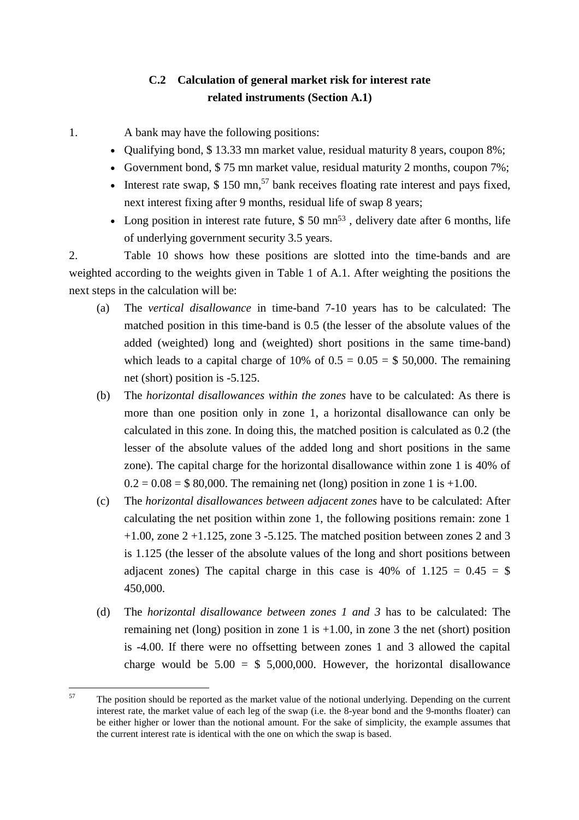# **C.2 Calculation of general market risk for interest rate related instruments (Section A.1)**

- 1. A bank may have the following positions:
	- Qualifying bond, \$ 13.33 mn market value, residual maturity 8 years, coupon 8%;
	- Government bond, \$ 75 mn market value, residual maturity 2 months, coupon 7%;
	- Interest rate swap,  $$150 \text{ mm}$ ,  $^{57}$  bank receives floating rate interest and pays fixed, next interest fixing after 9 months, residual life of swap 8 years;
	- Long position in interest rate future,  $$50 \text{ mm}^{53}$ , delivery date after 6 months, life of underlying government security 3.5 years.

2. Table 10 shows how these positions are slotted into the time-bands and are weighted according to the weights given in Table 1 of A.1. After weighting the positions the next steps in the calculation will be:

- (a) The *vertical disallowance* in time-band 7-10 years has to be calculated: The matched position in this time-band is 0.5 (the lesser of the absolute values of the added (weighted) long and (weighted) short positions in the same time-band) which leads to a capital charge of 10% of  $0.5 = 0.05 = $50,000$ . The remaining net (short) position is -5.125.
- (b) The *horizontal disallowances within the zones* have to be calculated: As there is more than one position only in zone 1, a horizontal disallowance can only be calculated in this zone. In doing this, the matched position is calculated as 0.2 (the lesser of the absolute values of the added long and short positions in the same zone). The capital charge for the horizontal disallowance within zone 1 is 40% of  $0.2 = 0.08 = $80,000$ . The remaining net (long) position in zone 1 is +1.00.
- (c) The *horizontal disallowances between adjacent zones* have to be calculated: After calculating the net position within zone 1, the following positions remain: zone 1  $+1.00$ , zone  $2 + 1.125$ , zone  $3 - 5.125$ . The matched position between zones 2 and 3 is 1.125 (the lesser of the absolute values of the long and short positions between adjacent zones) The capital charge in this case is 40% of  $1.125 = 0.45 =$  \$ 450,000.
- (d) The *horizontal disallowance between zones 1 and 3* has to be calculated: The remaining net (long) position in zone 1 is  $+1.00$ , in zone 3 the net (short) position is -4.00. If there were no offsetting between zones 1 and 3 allowed the capital charge would be  $5.00 = $ 5,000,000$ . However, the horizontal disallowance

 $57$ The position should be reported as the market value of the notional underlying. Depending on the current interest rate, the market value of each leg of the swap (i.e. the 8-year bond and the 9-months floater) can be either higher or lower than the notional amount. For the sake of simplicity, the example assumes that the current interest rate is identical with the one on which the swap is based.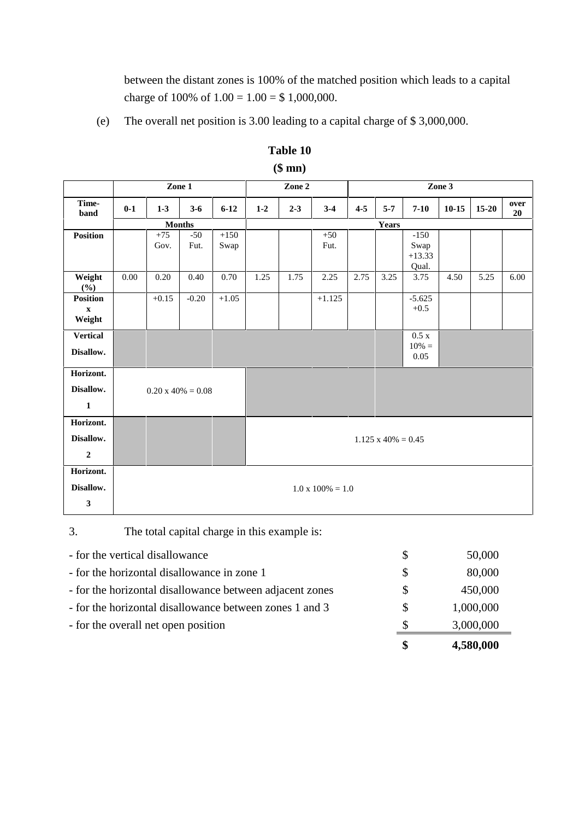between the distant zones is 100% of the matched position which leads to a capital charge of 100% of  $1.00 = 1.00 = $ 1,000,000$ .

(e) The overall net position is 3.00 leading to a capital charge of \$ 3,000,000.

|                        |                          | Zone 1                    |          | Zone 2  |         |          |         | Zone 3                     |          |           |         |            |
|------------------------|--------------------------|---------------------------|----------|---------|---------|----------|---------|----------------------------|----------|-----------|---------|------------|
| Time-<br>$0-1$<br>band | $1-3$                    | $3-6$                     | $6 - 12$ | $1 - 2$ | $2 - 3$ | $3-4$    | $4 - 5$ | $5 - 7$                    | $7 - 10$ | $10 - 15$ | $15-20$ | over<br>20 |
|                        |                          | <b>Months</b>             |          |         |         |          |         | <b>Years</b>               |          |           |         |            |
| <b>Position</b>        | $+75$                    | $-50$                     | $+150\,$ |         |         | $+50$    |         |                            | $-150$   |           |         |            |
|                        | Gov.                     | Fut.                      | Swap     |         |         | Fut.     |         |                            | Swap     |           |         |            |
|                        |                          |                           |          |         |         |          |         |                            | $+13.33$ |           |         |            |
|                        |                          |                           |          |         |         |          |         |                            | Qual.    |           |         |            |
| 0.00<br>Weight<br>(%)  | 0.20                     | 0.40                      | 0.70     | 1.25    | 1.75    | 2.25     | 2.75    | 3.25                       | 3.75     | 4.50      | 5.25    | 6.00       |
| <b>Position</b>        | $+0.15$                  | $-0.20$                   | $+1.05$  |         |         | $+1.125$ |         |                            | $-5.625$ |           |         |            |
| $\mathbf X$            |                          |                           |          |         |         |          |         |                            | $+0.5$   |           |         |            |
| Weight                 |                          |                           |          |         |         |          |         |                            |          |           |         |            |
| <b>Vertical</b>        |                          |                           |          |         |         |          |         |                            | 0.5 x    |           |         |            |
| Disallow.              |                          |                           |          |         |         |          |         |                            | $10\% =$ |           |         |            |
|                        |                          |                           |          |         |         |          |         |                            | 0.05     |           |         |            |
| Horizont.              |                          |                           |          |         |         |          |         |                            |          |           |         |            |
| Disallow.              |                          | $0.20 \times 40\% = 0.08$ |          |         |         |          |         |                            |          |           |         |            |
| $\mathbf{1}$           |                          |                           |          |         |         |          |         |                            |          |           |         |            |
| Horizont.              |                          |                           |          |         |         |          |         |                            |          |           |         |            |
| Disallow.              |                          |                           |          |         |         |          |         | $1.125 \times 40\% = 0.45$ |          |           |         |            |
| $\overline{2}$         |                          |                           |          |         |         |          |         |                            |          |           |         |            |
| Horizont.              |                          |                           |          |         |         |          |         |                            |          |           |         |            |
| Disallow.              | $1.0 \times 100\% = 1.0$ |                           |          |         |         |          |         |                            |          |           |         |            |
| $\mathbf{3}$           |                          |                           |          |         |         |          |         |                            |          |           |         |            |

# **Table 10 (\$ mn)**

3. The total capital charge in this example is:

|                                                          | S  | 4,580,000 |
|----------------------------------------------------------|----|-----------|
| - for the overall net open position                      |    | 3,000,000 |
| - for the horizontal disallowance between zones 1 and 3  | S  | 1,000,000 |
| - for the horizontal disallowance between adjacent zones | S  | 450,000   |
| - for the horizontal disallowance in zone 1              | \$ | 80,000    |
| - for the vertical disallowance                          |    | 50,000    |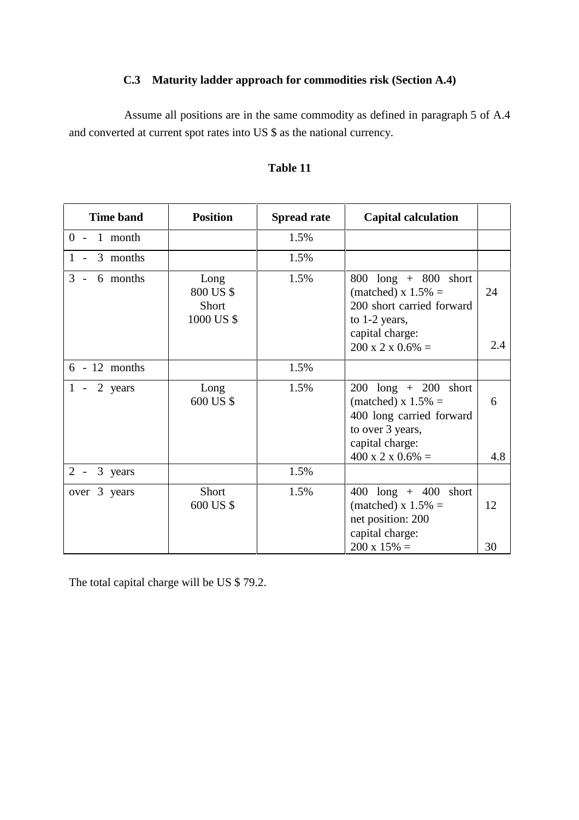## **C.3 Maturity ladder approach for commodities risk (Section A.4)**

Assume all positions are in the same commodity as defined in paragraph 5 of A.4 and converted at current spot rates into US \$ as the national currency.

| <b>Time band</b>  | <b>Position</b>                          | <b>Spread rate</b> | <b>Capital calculation</b>                                                                                                                           |          |
|-------------------|------------------------------------------|--------------------|------------------------------------------------------------------------------------------------------------------------------------------------------|----------|
| $0 -$<br>1 month  |                                          | 1.5%               |                                                                                                                                                      |          |
| 1<br>3 months     |                                          | 1.5%               |                                                                                                                                                      |          |
| $3 -$<br>6 months | Long<br>800 US \$<br>Short<br>1000 US \$ | 1.5%               | $800$ long + $800$ short<br>(matched) x $1.5\%$ =<br>200 short carried forward<br>to $1-2$ years,<br>capital charge:                                 | 24       |
|                   |                                          |                    | $200 \times 2 \times 0.6\% =$                                                                                                                        | 2.4      |
| $6 - 12$ months   |                                          | 1.5%               |                                                                                                                                                      |          |
| $1 - 2$ years     | Long<br>600 US \$                        | 1.5%               | $200$ long + $200$ short<br>(matched) $x 1.5% =$<br>400 long carried forward<br>to over 3 years,<br>capital charge:<br>$400 \times 2 \times 0.6\% =$ | 6<br>4.8 |
| $2 -$<br>3 years  |                                          | 1.5%               |                                                                                                                                                      |          |
| over 3 years      | <b>Short</b><br>600 US \$                | 1.5%               | $400$ long + $400$ short<br>(matched) $x 1.5% =$<br>net position: 200<br>capital charge:<br>$200 \times 15\% =$                                      | 12<br>30 |

## **Table 11**

The total capital charge will be US \$ 79.2.